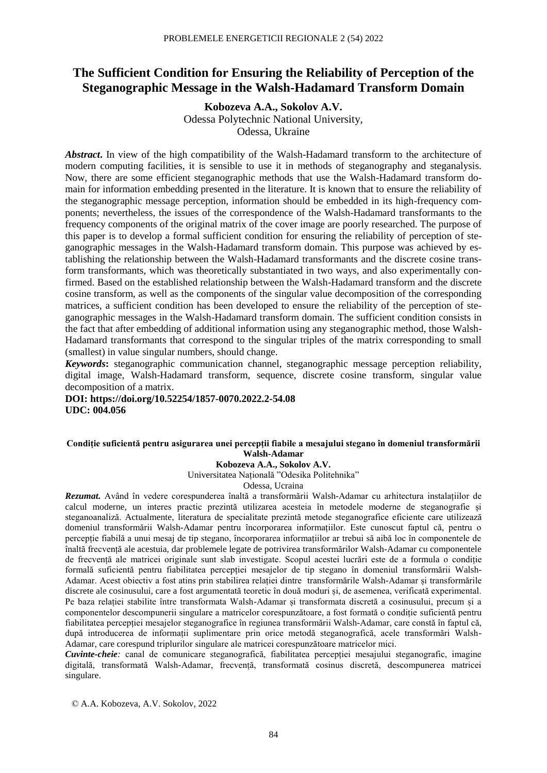# **The Sufficient Condition for Ensuring the Reliability of Perception of the Steganographic Message in the Walsh-Hadamard Transform Domain**

**Kobozeva A.A., Sokolov A.V.** Odessa Polytechnic National University, Odessa, Ukraine

*Abstract***.** In view of the high compatibility of the Walsh-Hadamard transform to the architecture of modern computing facilities, it is sensible to use it in methods of steganography and steganalysis. Now, there are some efficient steganographic methods that use the Walsh-Hadamard transform domain for information embedding presented in the literature. It is known that to ensure the reliability of the steganographic message perception, information should be embedded in its high-frequency components; nevertheless, the issues of the correspondence of the Walsh-Hadamard transformants to the frequency components of the original matrix of the cover image are poorly researched. The purpose of this paper is to develop a formal sufficient condition for ensuring the reliability of perception of steganographic messages in the Walsh-Hadamard transform domain. This purpose was achieved by establishing the relationship between the Walsh-Hadamard transformants and the discrete cosine transform transformants, which was theoretically substantiated in two ways, and also experimentally confirmed. Based on the established relationship between the Walsh-Hadamard transform and the discrete cosine transform, as well as the components of the singular value decomposition of the corresponding matrices, a sufficient condition has been developed to ensure the reliability of the perception of steganographic messages in the Walsh-Hadamard transform domain. The sufficient condition consists in the fact that after embedding of additional information using any steganographic method, those Walsh-Hadamard transformants that correspond to the singular triples of the matrix corresponding to small (smallest) in value singular numbers, should change.

*Keywords***:** steganographic communication channel, steganographic message perception reliability, digital image, Walsh-Hadamard transform, sequence, discrete cosine transform, singular value decomposition of a matrix.

**DOI: https://doi.org/10.52254/1857-0070.2022.2-54.08 UDC: 004.056**

## **Condiție suficientă pentru asigurarea unei percepții fiabile a mesajului stegano în domeniul transformării Walsh-Adamar**

**Kobozeva A.A., Sokolov A.V.**

Universitatea Națională "Odesika Politehnika"

Odessa, Ucraina

*Rezumat***.** Având în vedere corespunderea înaltă a transformării Walsh-Adamar cu arhitectura instalațiilor de calcul moderne, un interes practic prezintă utilizarea acesteia în metodele moderne de steganografie și steganoanaliză. Actualmente, literatura de specialitate prezintă metode steganografice eficiente care utilizează domeniul transformării Walsh-Adamar pentru încorporarea informațiilor. Este cunoscut faptul că, pentru o percepție fiabilă a unui mesaj de tip stegano, încorporarea informațiilor ar trebui să aibă loc în componentele de înaltă frecvență ale acestuia, dar problemele legate de potrivirea transformărilor Walsh-Adamar cu componentele de frecvență ale matricei originale sunt slab investigate. Scopul acestei lucrări este de a formula o condiție formală suficientă pentru fiabilitatea percepției mesajelor de tip stegano în domeniul transformării Walsh-Adamar. Acest obiectiv a fost atins prin stabilirea relației dintre transformările Walsh-Adamar și transformările discrete ale cosinusului, care a fost argumentată teoretic în două moduri și, de asemenea, verificată experimental. Pe baza relației stabilite între transformata Walsh-Adamar și transformata discretă a cosinusului, precum și a componentelor descompunerii singulare a matricelor corespunzătoare, a fost formată o condiție suficientă pentru fiabilitatea percepției mesajelor steganografice în regiunea transformării Walsh-Adamar, care constă în faptul că, după introducerea de informații suplimentare prin orice metodă steganografică, acele transformări Walsh-Adamar, care corespund triplurilor singulare ale matricei corespunzătoare matricelor mici.

*Cuvinte-cheie:* canal de comunicare steganografică, fiabilitatea percepției mesajului steganografic, imagine digitală, transformată Walsh-Adamar, frecvență, transformată cosinus discretă, descompunerea matricei singulare.

© A.A. Kobozeva, A.V. Sokolov, 2022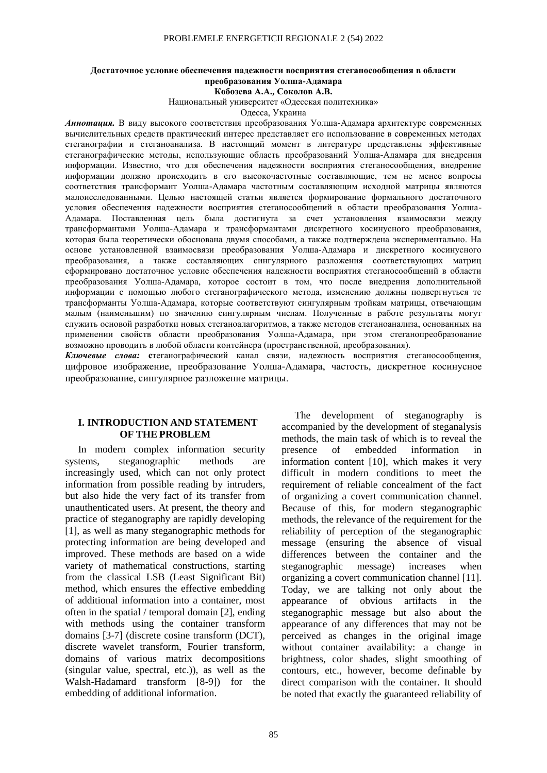## **Достаточное условие обеспечения надежности восприятия стеганосообщения в области преобразования Уолша-Адамара**

**Кобозева А.А., Соколов А.В.**

Национальный университет «Одесская политехника»

Одесса, Украина

*Аннотация.* В виду высокого соответствия преобразования Уолша-Адамара архитектуре современных вычислительных средств практический интерес представляет его использование в современных методах стеганографии и стеганоанализа. В настоящий момент в литературе представлены эффективные стеганографические методы, использующие область преобразований Уолша-Адамара для внедрения информации. Известно, что для обеспечения надежности восприятия стеганосообщения, внедрение информации должно происходить в его высокочастотные составляющие, тем не менее вопросы соответствия трансформант Уолша-Адамара частотным составляющим исходной матрицы являются малоисследованными. Целью настоящей статьи является формирование формального достаточного условия обеспечения надежности восприятия стеганосообщений в области преобразования Уолша-Адамара. Поставленная цель была достигнута за счет установления взаимосвязи между трансформантами Уолша-Адамара и трансформантами дискретного косинусного преобразования, которая была теоретически обоснована двумя способами, а также подтверждена экспериментально. На основе установленной взаимосвязи преобразования Уолша-Адамара и дискретного косинусного преобразования, а также составляющих сингулярного разложения соответствующих матриц сформировано достаточное условие обеспечения надежности восприятия стеганосообщений в области преобразования Уолша-Адамара, которое состоит в том, что после внедрения дополнительной информации с помощью любого стеганографического метода, изменению должны подвергнуться те трансформанты Уолша-Адамара, которые соответствуют сингулярным тройкам матрицы, отвечающим малым (наименьшим) по значению сингулярным числам. Полученные в работе результаты могут служить основой разработки новых стеганоалагоритмов, а также методов стеганоанализа, основанных на применении свойств области преобразования Уолша-Адамара, при этом стеганопреобразование возможно проводить в любой области контейнера (пространственной, преобразования).

*Ключевые слова:* **с**теганографический канал связи, надежность восприятия стеганосообщения, цифровое изображение, преобразование Уолша-Адамара, частость, дискретное косинусное преобразование, сингулярное разложение матрицы.

### **I. INTRODUCTION AND STATEMENT OF THE PROBLEM**

In modern complex information security systems, steganographic methods are increasingly used, which can not only protect information from possible reading by intruders, but also hide the very fact of its transfer from unauthenticated users. At present, the theory and practice of steganography are rapidly developing [1], as well as many steganographic methods for protecting information are being developed and improved. These methods are based on a wide variety of mathematical constructions, starting from the classical LSB (Least Significant Bit) method, which ensures the effective embedding of additional information into a container, most often in the spatial / temporal domain [2], ending with methods using the container transform domains [3-7] (discrete cosine transform (DCT), discrete wavelet transform, Fourier transform, domains of various matrix decompositions (singular value, spectral, etc.)), as well as the Walsh-Hadamard transform [8-9]) for the embedding of additional information.

The development of steganography is accompanied by the development of steganalysis methods, the main task of which is to reveal the presence of embedded information in information content [10], which makes it very difficult in modern conditions to meet the requirement of reliable concealment of the fact of organizing a covert communication channel. Because of this, for modern steganographic methods, the relevance of the requirement for the reliability of perception of the steganographic message (ensuring the absence of visual differences between the container and the steganographic message) increases when organizing a covert communication channel [11]. Today, we are talking not only about the appearance of obvious artifacts in the steganographic message but also about the appearance of any differences that may not be perceived as changes in the original image without container availability: a change in brightness, color shades, slight smoothing of contours, etc., however, become definable by direct comparison with the container. It should be noted that exactly the guaranteed reliability of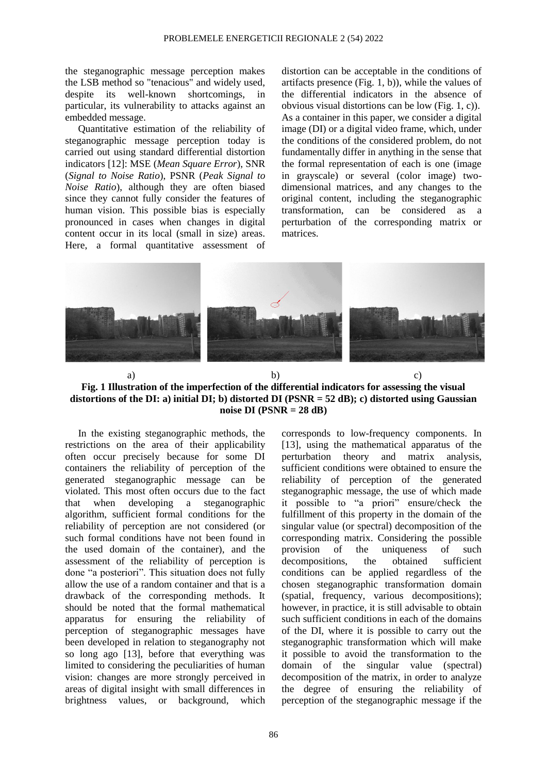the steganographic message perception makes the LSB method so "tenacious" and widely used, despite its well-known shortcomings, in particular, its vulnerability to attacks against an embedded message.

Quantitative estimation of the reliability of steganographic message perception today is carried out using standard differential distortion indicators [12]: MSE (*Mean Square Error*), SNR (*Signal to Noise Ratio*), PSNR (*Peak Signal to Noise Ratio*), although they are often biased since they cannot fully consider the features of human vision. This possible bias is especially pronounced in cases when changes in digital content occur in its local (small in size) areas. Here, a formal quantitative assessment of distortion can be acceptable in the conditions of artifacts presence (Fig. 1, b)), while the values of the differential indicators in the absence of obvious visual distortions can be low (Fig. 1, c)). As a container in this paper, we consider a digital image (DI) or a digital video frame, which, under the conditions of the considered problem, do not fundamentally differ in anything in the sense that the formal representation of each is one (image in grayscale) or several (color image) twodimensional matrices, and any changes to the original content, including the steganographic transformation, can be considered as a perturbation of the corresponding matrix or matrices.



a) b) c) **Fig. 1 Illustration of the imperfection of the differential indicators for assessing the visual distortions of the DI: a) initial DI; b) distorted DI (PSNR = 52 dB); c) distorted using Gaussian noise DI (PSNR = 28 dB)**

In the existing steganographic methods, the restrictions on the area of their applicability often occur precisely because for some DI containers the reliability of perception of the generated steganographic message can be violated. This most often occurs due to the fact that when developing a steganographic algorithm, sufficient formal conditions for the reliability of perception are not considered (or such formal conditions have not been found in the used domain of the container), and the assessment of the reliability of perception is done "a posteriori". This situation does not fully allow the use of a random container and that is a drawback of the corresponding methods. It should be noted that the formal mathematical apparatus for ensuring the reliability of perception of steganographic messages have been developed in relation to steganography not so long ago [13], before that everything was limited to considering the peculiarities of human vision: changes are more strongly perceived in areas of digital insight with small differences in brightness values, or background, which corresponds to low-frequency components. In [13], using the mathematical apparatus of the perturbation theory and matrix analysis, sufficient conditions were obtained to ensure the reliability of perception of the generated steganographic message, the use of which made it possible to "a priori" ensure/check the fulfillment of this property in the domain of the singular value (or spectral) decomposition of the corresponding matrix. Considering the possible provision of the uniqueness of such decompositions, the obtained sufficient conditions can be applied regardless of the chosen steganographic transformation domain (spatial, frequency, various decompositions); however, in practice, it is still advisable to obtain such sufficient conditions in each of the domains of the DI, where it is possible to carry out the steganographic transformation which will make it possible to avoid the transformation to the domain of the singular value (spectral) decomposition of the matrix, in order to analyze the degree of ensuring the reliability of perception of the steganographic message if the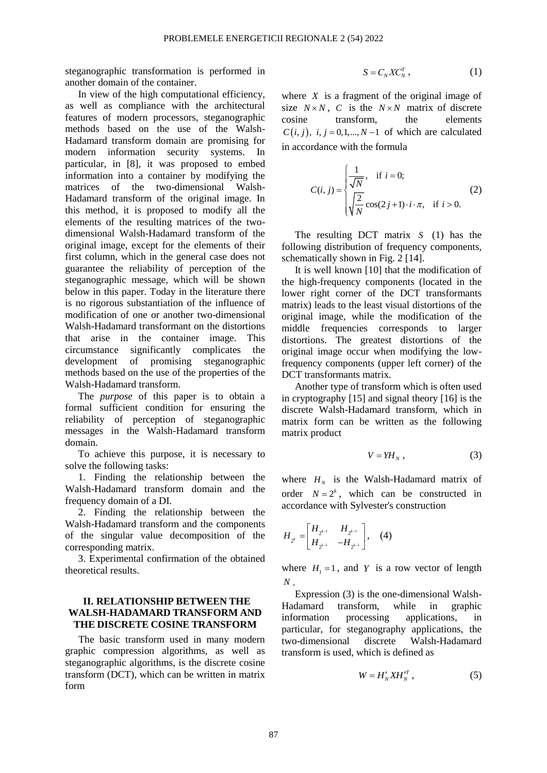steganographic transformation is performed in another domain of the container.

In view of the high computational efficiency, as well as compliance with the architectural features of modern processors, steganographic methods based on the use of the Walsh-Hadamard transform domain are promising for modern information security systems. In particular, in [8], it was proposed to embed information into a container by modifying the matrices of the two-dimensional Walsh-Hadamard transform of the original image. In this method, it is proposed to modify all the elements of the resulting matrices of the twodimensional Walsh-Hadamard transform of the original image, except for the elements of their first column, which in the general case does not guarantee the reliability of perception of the steganographic message, which will be shown below in this paper. Today in the literature there is no rigorous substantiation of the influence of modification of one or another two-dimensional Walsh-Hadamard transformant on the distortions that arise in the container image. This circumstance significantly complicates the development of promising steganographic methods based on the use of the properties of the Walsh-Hadamard transform.

The *purpose* of this paper is to obtain a formal sufficient condition for ensuring the reliability of perception of steganographic messages in the Walsh-Hadamard transform domain.

To achieve this purpose, it is necessary to solve the following tasks:

1. Finding the relationship between the Walsh-Hadamard transform domain and the frequency domain of a DI.

2. Finding the relationship between the Walsh-Hadamard transform and the components of the singular value decomposition of the corresponding matrix.

3. Experimental confirmation of the obtained theoretical results.

## **II. RELATIONSHIP BETWEEN THE WALSH-HADAMARD TRANSFORM AND THE DISCRETE COSINE TRANSFORM**

The basic transform used in many modern graphic compression algorithms, as well as steganographic algorithms, is the discrete cosine transform (DCT), which can be written in matrix form

$$
S = C_N X C_N^T , \qquad (1)
$$

where  $X$  is a fragment of the original image of size  $N \times N$ , C is the  $N \times N$  matrix of discrete cosine transform, the elements  $C(i, j)$ ,  $i, j = 0, 1, \ldots, N-1$  of which are calculated in accordance with the formula

$$
C(i, j) = \begin{cases} \frac{1}{\sqrt{N}}, & \text{if } i = 0; \\ \sqrt{\frac{2}{N}} \cos(2j + 1) \cdot i \cdot \pi, & \text{if } i > 0. \end{cases}
$$
 (2)

The resulting DCT matrix *S* (1) has the following distribution of frequency components, schematically shown in Fig. 2 [14].

It is well known [10] that the modification of the high-frequency components (located in the lower right corner of the DCT transformants matrix) leads to the least visual distortions of the original image, while the modification of the middle frequencies corresponds to larger distortions. The greatest distortions of the original image occur when modifying the lowfrequency components (upper left corner) of the DCT transformants matrix.

Another type of transform which is often used in cryptography [15] and signal theory [16] is the discrete Walsh-Hadamard transform, which in matrix form can be written as the following matrix product

$$
V = YH_N \t{,} \t(3)
$$

where  $H_N$  is the Walsh-Hadamard matrix of order  $N = 2<sup>k</sup>$ , which can be constructed in accordance with Sylvester's construction

$$
H_{2^{k}} = \begin{bmatrix} H_{2^{k-1}} & H_{2^{k-1}} \\ H_{2^{k-1}} & -H_{2^{k-1}} \end{bmatrix}, (4)
$$

where  $H_1 = 1$ , and Y is a row vector of length *<sup>N</sup>* .

Expression (3) is the one-dimensional Walsh-Hadamard transform, while in graphic information processing applications, in particular, for steganography applications, the two-dimensional discrete Walsh-Hadamard transform is used, which is defined as

$$
W = H_N' X H_N^{T}, \qquad (5)
$$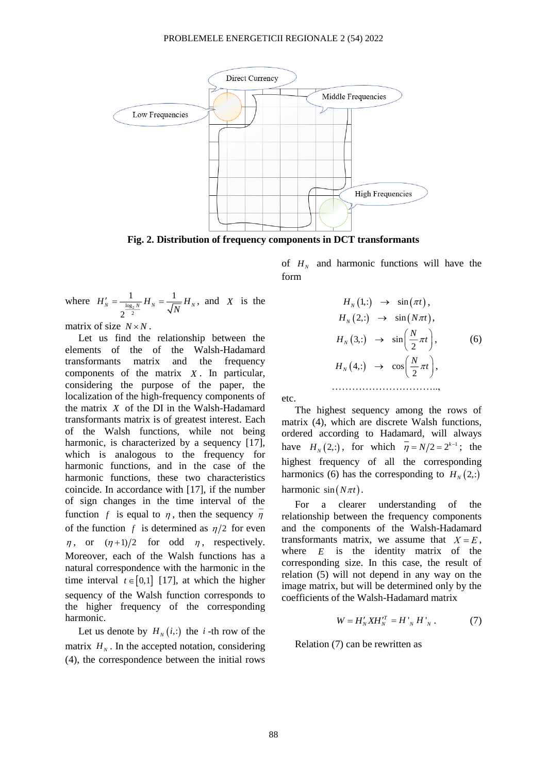

**Fig. 2. Distribution of frequency components in DCT transformants** 

where  $H'_{N} = \frac{1}{2}$ 1 1 2  $H'_{N} = \frac{1}{\sqrt{\log_{2} N}} H_{N} = \frac{1}{\sqrt{N}} H_{N}$  $\gamma_{N} = \frac{1}{\log N} H_N = \frac{1}{\sqrt{1-\mu}} H_N$ , and X is the

matrix of size  $N \times N$ .

Let us find the relationship between the elements of the of the Walsh-Hadamard transformants matrix and the frequency components of the matrix *X* . In particular, considering the purpose of the paper, the localization of the high-frequency components of the matrix *X* of the DI in the Walsh-Hadamard transformants matrix is of greatest interest. Each of the Walsh functions, while not being harmonic, is characterized by a sequency [17], which is analogous to the frequency for harmonic functions, and in the case of the harmonic functions, these two characteristics coincide. In accordance with [17], if the number of sign changes in the time interval of the function f is equal to  $\eta$ , then the sequency  $\eta$ of the function  $f$  is determined as  $\eta/2$  for even  $\eta$ , or  $(\eta+1)/2$  for odd  $\eta$ , respectively. Moreover, each of the Walsh functions has a natural correspondence with the harmonic in the time interval  $t \in [0,1]$  [17], at which the higher sequency of the Walsh function corresponds to the higher frequency of the corresponding harmonic.

Let us denote by  $H_N(i,:)$  the *i*-th row of the matrix  $H_N$ . In the accepted notation, considering (4), the correspondence between the initial rows

of  $H_N$  and harmonic functions will have the form

$$
H_N(1,:) \rightarrow \sin(\pi t),
$$
  
\n
$$
H_N(2,:) \rightarrow \sin(N\pi t),
$$
  
\n
$$
H_N(3,:) \rightarrow \sin\left(\frac{N}{2}\pi t\right),
$$
  
\n
$$
H_N(4,:) \rightarrow \cos\left(\frac{N}{2}\pi t\right),
$$
  
\n
$$
\dots
$$

etc.

The highest sequency among the rows of matrix (4), which are discrete Walsh functions, ordered according to Hadamard, will always have  $H_N(2, :)$ , for which  $\eta = N/2 = 2^{k-1}$ ; the highest frequency of all the corresponding harmonics (6) has the corresponding to  $H_N(2, :)$ harmonic  $sin(N\pi t)$ .

For a clearer understanding of the relationship between the frequency components and the components of the Walsh-Hadamard transformants matrix, we assume that  $X = E$ , where  $E$  is the identity matrix of the corresponding size. In this case, the result of relation (5) will not depend in any way on the image matrix, but will be determined only by the coefficients of the Walsh-Hadamard matrix

$$
W = H_N' X H_N^{T} = H_{N} H_{N}.
$$
 (7)

Relation (7) can be rewritten as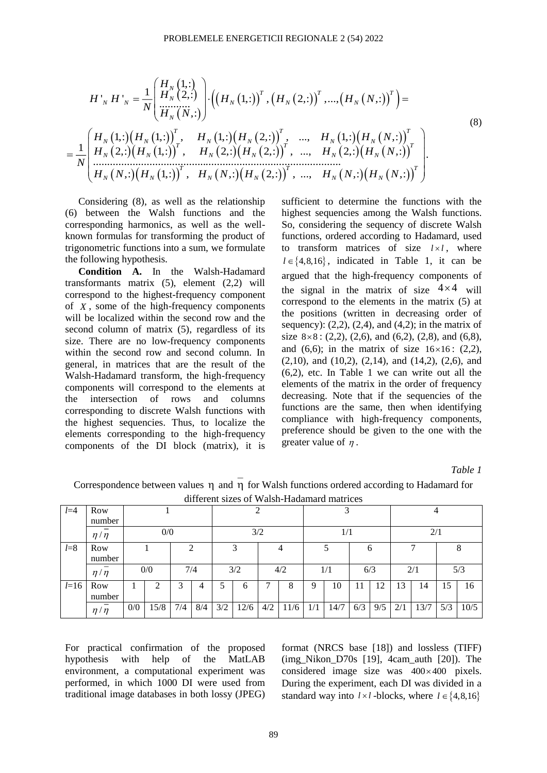$$
H'_{N} H'_{N} = \frac{1}{N} \begin{bmatrix} H_{N}(1,:) \\ H_{N}(2,:) \\ \vdots \\ H_{N}(N,:) \end{bmatrix} \cdot \left( \left( H_{N}(1,:) \right)^{T}, \left( H_{N}(2,:) \right)^{T}, \dots, \left( H_{N}(N,:) \right)^{T} \right) =
$$
\n
$$
= \frac{1}{N} \begin{bmatrix} H_{N}(1,:) \left( H_{N}(1,:) \right)^{T}, & H_{N}(1,:) \left( H_{N}(2,:) \right)^{T}, & \dots, & H_{N}(1,:) \left( H_{N}(N,:) \right)^{T} \\ H_{N}(2,:) \left( H_{N}(1,:) \right)^{T}, & H_{N}(2,:) \left( H_{N}(2,:) \right)^{T}, & \dots, & H_{N}(2,:) \left( H_{N}(N,:) \right)^{T} \\ \vdots & \vdots & \vdots & \vdots & \vdots \\ H_{N}(N,:) \left( H_{N}(1,:) \right)^{T}, & H_{N}(N,:) \left( H_{N}(2,:) \right)^{T}, & \dots, & H_{N}(N,:) \left( H_{N}(N,:) \right)^{T} \end{bmatrix}.
$$
\n(8)

Considering (8), as well as the relationship (6) between the Walsh functions and the corresponding harmonics, as well as the wellknown formulas for transforming the product of trigonometric functions into a sum, we formulate the following hypothesis.

**Condition A.** In the Walsh-Hadamard transformants matrix (5), element (2,2) will correspond to the highest-frequency component of *X* , some of the high-frequency components will be localized within the second row and the second column of matrix (5), regardless of its size. There are no low-frequency components within the second row and second column. In general, in matrices that are the result of the Walsh-Hadamard transform, the high-frequency components will correspond to the elements at the intersection of rows and columns corresponding to discrete Walsh functions with the highest sequencies. Thus, to localize the elements corresponding to the high-frequency components of the DI block (matrix), it is

sufficient to determine the functions with the highest sequencies among the Walsh functions. So, considering the sequency of discrete Walsh functions, ordered according to Hadamard, used to transform matrices of size  $l \times l$ , where  $l \in \{4, 8, 16\}$ , indicated in Table 1, it can be argued that the high-frequency components of the signal in the matrix of size  $4 \times 4$  will correspond to the elements in the matrix (5) at the positions (written in decreasing order of sequency):  $(2,2)$ ,  $(2,4)$ , and  $(4,2)$ ; in the matrix of size  $8 \times 8$ : (2,2), (2,6), and (6,2), (2,8), and (6,8), and  $(6,6)$ ; in the matrix of size  $16\times16$ :  $(2,2)$ ,  $(2,10)$ , and  $(10,2)$ ,  $(2,14)$ , and  $(14,2)$ ,  $(2,6)$ , and (6,2), etc. In Table 1 we can write out all the elements of the matrix in the order of frequency decreasing. Note that if the sequencies of the functions are the same, then when identifying compliance with high-frequency components, preference should be given to the one with the greater value of  $\eta$ .

*Table 1* 

| $l=4$   | Row           |     |      |     |     |     |      |     |      |             | 2<br>ر |     |     | 4   |      |     |      |  |  |
|---------|---------------|-----|------|-----|-----|-----|------|-----|------|-------------|--------|-----|-----|-----|------|-----|------|--|--|
|         | number        |     |      |     |     |     |      |     |      |             |        |     |     |     |      |     |      |  |  |
|         | $\eta/\eta$   | 0/0 |      |     | 3/2 |     |      |     | 1/1  |             |        |     | 2/1 |     |      |     |      |  |  |
| $l = 8$ | Row           |     |      |     |     |     | h    |     |      |             |        | ◠   |     |     |      |     |      |  |  |
|         | number        |     |      |     |     |     |      |     |      |             |        |     |     |     |      |     |      |  |  |
|         | $\eta/\eta$   |     | 0/0  |     | 7/4 |     | 3/2  |     | 4/2  |             | 1/1    | 6/3 |     |     | 2/1  |     | 5/3  |  |  |
| $l=16$  | Row<br>number |     | ◠    | 3   | 4   | 5   | 6    | ┑   | 8    | $\mathbf Q$ | 10     | 11  | 12  | 13  | 14   | 15  | 16   |  |  |
|         | $\eta/\eta$   | 0/0 | 15/8 | 7/4 | 8/4 | 3/2 | 12/6 | 4/2 | 11/6 | 1/1         | 14/7   | 6/3 | 9/5 | 2/1 | 13/7 | 5/3 | 10/5 |  |  |

Correspondence between values  $\eta$  and  $\eta$  for Walsh functions ordered according to Hadamard for different sizes of Walsh-Hadamard matrices

For practical confirmation of the proposed hypothesis with help of the MatLAB environment, a computational experiment was performed, in which 1000 DI were used from traditional image databases in both lossy (JPEG) format (NRCS base [18]) and lossless (TIFF) (img Nikon D70s  $[19]$ , 4cam auth  $[20]$ ). The considered image size was  $400 \times 400$  pixels. During the experiment, each DI was divided in a standard way into  $l \times l$  -blocks, where  $l \in \{4, 8, 16\}$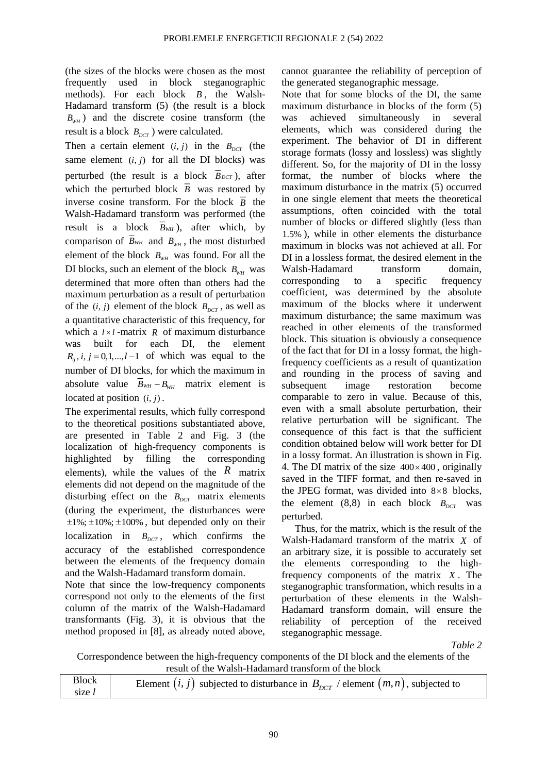(the sizes of the blocks were chosen as the most frequently used in block steganographic methods). For each block *B* , the Walsh-Hadamard transform (5) (the result is a block  $B_{wH}$ ) and the discrete cosine transform (the result is a block  $B_{DCT}$ ) were calculated.

Then a certain element  $(i, j)$  in the  $B_{DCT}$  (the same element  $(i, j)$  for all the DI blocks) was perturbed (the result is a block  $B_{DCT}$ ), after which the perturbed block  $\overline{B}$  was restored by inverse cosine transform. For the block  $\overline{B}$  the Walsh-Hadamard transform was performed (the result is a block  $B_{WH}$ ), after which, by comparison of  $B_{WH}$  and  $B_{WH}$ , the most disturbed element of the block  $B_{wH}$  was found. For all the DI blocks, such an element of the block  $B_{wH}$  was determined that more often than others had the maximum perturbation as a result of perturbation of the  $(i, j)$  element of the block  $B_{DCT}$ , as well as a quantitative characteristic of this frequency, for which a  $l \times l$ -matrix R of maximum disturbance was built for each DI, the element  $R_{ij}$ ,  $i, j = 0,1,...,l-1$  of which was equal to the number of DI blocks, for which the maximum in absolute value  $B_{WH} - B_{wH}$  matrix element is located at position  $(i, j)$ .

The experimental results, which fully correspond to the theoretical positions substantiated above, are presented in Table 2 and Fig. 3 (the localization of high-frequency components is highlighted by filling the corresponding elements), while the values of the  $\bar{R}$  matrix elements did not depend on the magnitude of the disturbing effect on the  $B_{DCT}$  matrix elements (during the experiment, the disturbances were  $\pm 1\%$ ;  $\pm 10\%$ ;  $\pm 100\%$ , but depended only on their localization in  $B_{DCT}$ , which confirms the accuracy of the established correspondence between the elements of the frequency domain and the Walsh-Hadamard transform domain.

Note that since the low-frequency components correspond not only to the elements of the first column of the matrix of the Walsh-Hadamard transformants (Fig. 3), it is obvious that the method proposed in [8], as already noted above, cannot guarantee the reliability of perception of the generated steganographic message.

Note that for some blocks of the DI, the same maximum disturbance in blocks of the form (5) was achieved simultaneously in several elements, which was considered during the experiment. The behavior of DI in different storage formats (lossy and lossless) was slightly different. So, for the majority of DI in the lossy format, the number of blocks where the maximum disturbance in the matrix (5) occurred in one single element that meets the theoretical assumptions, often coincided with the total number of blocks or differed slightly (less than 1.5% ), while in other elements the disturbance maximum in blocks was not achieved at all. For DI in a lossless format, the desired element in the Walsh-Hadamard transform domain, corresponding to a specific frequency coefficient, was determined by the absolute maximum of the blocks where it underwent maximum disturbance; the same maximum was reached in other elements of the transformed block. This situation is obviously a consequence of the fact that for DI in a lossy format, the highfrequency coefficients as a result of quantization and rounding in the process of saving and subsequent image restoration become comparable to zero in value. Because of this, even with a small absolute perturbation, their relative perturbation will be significant. The consequence of this fact is that the sufficient condition obtained below will work better for DI in a lossy format. An illustration is shown in Fig. 4. The DI matrix of the size  $400 \times 400$ , originally saved in the TIFF format, and then re-saved in the JPEG format, was divided into  $8 \times 8$  blocks, the element  $(8,8)$  in each block  $B_{DCT}$  was perturbed.

Thus, for the matrix, which is the result of the Walsh-Hadamard transform of the matrix *X* of an arbitrary size, it is possible to accurately set the elements corresponding to the highfrequency components of the matrix *X* . The steganographic transformation, which results in a perturbation of these elements in the Walsh-Hadamard transform domain, will ensure the reliability of perception of the received steganographic message.

*Table 2*

Correspondence between the high-frequency components of the DI block and the elements of the result of the Walsh-Hadamard transform of the block

| Block<br>Element $(i, j)$ subjected to disturbance in $B_{DCT}$ / element $(m, n)$ , subjected to<br>size $l$ |  |
|---------------------------------------------------------------------------------------------------------------|--|
|---------------------------------------------------------------------------------------------------------------|--|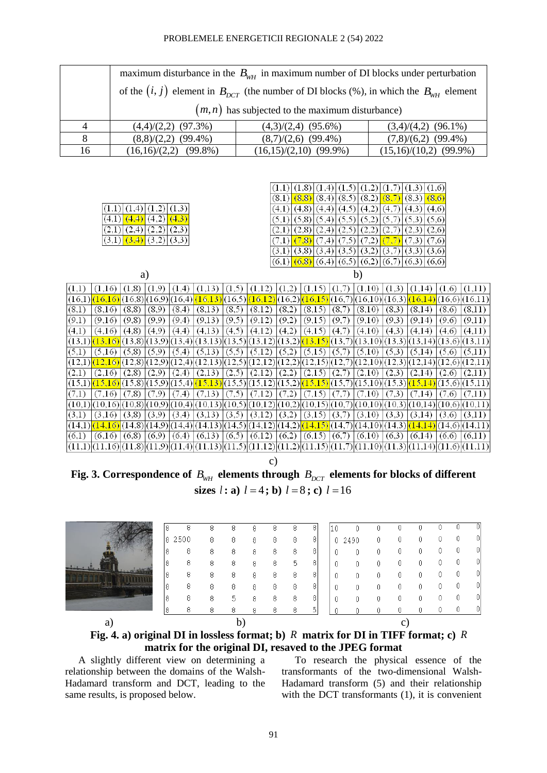#### PROBLEMELE ENERGETICII REGIONALE 2 (54) 2022

|    | maximum disturbance in the $B_{wH}$ in maximum number of DI blocks under perturbation            |                          |                          |  |  |  |  |  |  |  |  |  |
|----|--------------------------------------------------------------------------------------------------|--------------------------|--------------------------|--|--|--|--|--|--|--|--|--|
|    | of the $(i, j)$ element in $B_{DCT}$ (the number of DI blocks (%), in which the $B_{WH}$ element |                          |                          |  |  |  |  |  |  |  |  |  |
|    | $(m, n)$ has subjected to the maximum disturbance)                                               |                          |                          |  |  |  |  |  |  |  |  |  |
|    | $(4,4)/(2,2)$ $(97.3%)$                                                                          | $(4,3)/(2,4)$ (95.6%)    | $(3,4)/(4,2)$ (96.1%)    |  |  |  |  |  |  |  |  |  |
| 8  | $(8,8)/(2,2)$ (99.4%)                                                                            | $(8,7)/(2,6)$ (99.4%)    | $(7,8)/(6,2)$ (99.4%)    |  |  |  |  |  |  |  |  |  |
| 16 | $(16,16)/(2,2)$ (99.8%)                                                                          | $(16,15)/(2,10)$ (99.9%) | $(15,16)/(10,2)$ (99.9%) |  |  |  |  |  |  |  |  |  |

|                                  |                   |        |        |        |                           | (1,8)<br>(1,4)  |                 |                        |            |                 | (1,6)  |               |
|----------------------------------|-------------------|--------|--------|--------|---------------------------|-----------------|-----------------|------------------------|------------|-----------------|--------|---------------|
|                                  |                   |        |        |        | (8,1)                     | (8, 8)<br>(8,4) | (8,5)           | (8,2)                  | (8,7)      | (8,3)           | (8, 6) |               |
| (1,4)                            | (1,3)             |        |        |        | (4,1)                     | (4,8)<br>(4,4)  | (4,5            | (4,2)                  | (4,7)      | (4,3)           | (4,6)  |               |
| (4,2)<br>(4,1)<br>(4,4)          | (4,3)             |        |        |        | (5,1)                     | (5,4)<br>(5,8)  | (5,5)           | (5,2)                  | (5         | (5,3)           | (5,6)  |               |
| (2,2)<br>(2,4)<br>$^{\prime}2,1$ | (2,3)             |        |        |        | (2,1)                     | (2,8)<br>(2,4)  | 2,5             | (2,2)                  | <u>ی ت</u> | (2,3)           | (2,6)  |               |
| $(3,1)$ $(3,4)$                  | $(3,2)$ $(3,3)$   |        |        |        | ,1)                       | (7,8)<br>(7,4)  | (7,5)           | , 2)                   |            | (3)             | (7,6)  |               |
|                                  |                   |        |        |        | (3,1)                     | (3,8)<br>(3,4)  | (3,5)           | (3,2)                  | (3.        | (3,3)           | (3,6)  |               |
|                                  |                   |        |        |        | (6,1)                     | (6,8)           | $(6,4)$ $(6,5)$ | (6,2)                  | (6,7)      | $(6,3)$ $(6,6)$ |        |               |
| a)                               |                   |        |        |        |                           |                 |                 | b)                     |            |                 |        |               |
| (1,8)<br>(1,9)<br>(1,16)         |                   | .13)   |        |        | $\mathbf{2}^{\circ}$<br>1 |                 | (1,             | $\left( 1{,}10\right)$ | .3         | 4               | (1,6)  | (1,11)        |
| (16, 8)<br>(16,<br>$\sqrt{6}$    | (16, 9)<br>(16,4) | 16,13) | (16,5) | 16,12  | 16,2)                     | 16,15           | 16,7            | (16,10)                | (16,3)     | 16,14           |        | (16,6)(16,11) |
| (8, 8)<br>(8,9)<br>(8,16)        | (8,4)             | (8,13) | (8,5)  | (8,12) | (8,2)                     | (8,15)          | (8,7)           | (8,10)                 | (8,3)      | (8,14)          | (8,6)  | (8,11)        |
| (9,8)<br>(9,9)<br>(9,16)         | (9,4)             | (9,13) | (9,5)  | (9,12) | (9,2)                     | (9,15)          | (9.7)           | (9,10)                 | (9,3)      | (9,14)          | (9,6)  | (9,11)        |

 $(5,1)$   $(5,16)$   $(5,8)$   $(5,9)$   $(5,4)$   $(5,13)$   $(5,5)$   $(5,12)$   $(5,2)$   $(5,15)$   $(5,7)$   $(5,10)$   $(5,3)$   $(5,14)$   $(5,6)$   $(5,11)$  $\frac{(12,1)\cdot(12,16)\cdot(12,8)(12,9)(12,4)}{(12,13)(12,13)(12,5)(12,12)(12,2)(12,15)(12,7)(12,10)(12,3)(12,14)(12,6)(12,11)}$  $(2,1)$   $(2,16)$   $(2,8)$   $(2,9)$   $(2,4)$   $(2,13)$   $(2,5)$   $(2,12)$   $(2,2)$   $(2,15)$   $(2,7)$   $(2,10)$   $(2,3)$   $(2,14)$   $(2,6)$   $(2,11)$  $(15,1)$  $(15,16)$  $(15,8)$  $(15,9)$  $(15,4)$  $(15,13)$  $(15,5)$  $(15,12)$  $(15,2)$  $(15,15)$  $(15,7)$  $(15,10)$  $(15,3)$  $(15,14)$  $(15,6)$  $(15,11)$  $|(7,1)$   $|(7,16)$   $|(7,8)$   $|(7,9)$   $|(7,4)$   $|(7,13)$   $|(7,5)$   $|(7,12)$   $|(7,2)$   $|(7,15)$   $|(7,7)$   $|(7,10)$   $|(7,3)$   $|(7,14)$   $|(7,6)$   $|(7,11)$  $(10,1)[(10,16)[(10,8)](10,9)[(10,4)](10,13)[(10,5)](10,12)[(10,2)](10,15)[(10,7)](10,10)[(10,3)](10,14)[(10,6)](10,11]$  $(3,1)$   $(3,16)$   $(3,8)$   $(3,9)$   $(3,4)$   $(3,13)$   $(3,5)$   $(3,12)$   $(3,2)$   $(3,15)$   $(3,1)$   $(3,10)$   $(3,3)$   $(3,14)$   $(3,6)$   $(3,11)$  $(14,1)$  $(14,16)$  $(14,8)$  $(14,9)$  $(14,4)$  $(14,13)$  $(14,5)$  $(14,12)$  $(14,12)$  $(14,15)$  $(14,17)$  $(14,10)$  $(14,10)$  $(14,14)$  $(14,6)$  $(14,11)$  $(6,1)$   $(6,16)$   $(6,8)$   $(6,9)$   $(6,4)$   $(6,13)$   $(6,5)$   $(6,12)$   $(6,2)$   $(6,15)$   $(6,7)$   $(6,10)$   $(6,3)$   $(6,14)$   $(6,6)$   $(6,11)$  $\frac{(11,1)(11,16)(11,8)(11,9)(11,4)(11,13)(11,5)(11,12)(11,2)(11,15)(11,10)(11,10)(11,14)(11,6)(11,11)}{(11,1)(11,1)(11,1)(11,1)(11,11)(11,11)(11,11)(11,11)(11,11)(11,11)(11,11)(11,11)(11,11)(11,11)(11,11)(11,11)(11,11)(11,11)(11,11)(11,11)(11,11)(11,11)(11,11$ 

 $(4,1) (4,16) (4,8) (4,9) (4,4) (4,13) (4,5) (4,12) (4,2) (4,15) (4,7) (4,10) (4,3) (4,14) (4,6)$ 

 $(13,1)$  $(13,16)$  $(13,8)$  $(13,9)$  $(13,4)$  $(13,13)$  $(13,5)$  $(13,12)$  $(13,2)$  $(13,15)$  $(13,17)$  $(13,10)$  $(13,3)$  $(13,14)$  $(13,6)$  $(13,11)$ 

c)

Fig. 3. Correspondence of  $B_{\text{WH}}$  elements through  $B_{\text{DCT}}$  elements for blocks of different **sizes**  $l:$  **a**)  $l = 4$ ; **b**)  $l = 8$ ; **c**)  $l = 16$ 

| a |     |      |   | h |   |   |   |   |    |      | с |   |   |    |
|---|-----|------|---|---|---|---|---|---|----|------|---|---|---|----|
|   | Я   | 8    | 8 | Я |   | я | 8 | 5 |    |      |   |   |   |    |
|   | 8   | 8    | 8 | 5 | я | 8 | 8 | 8 |    |      |   |   |   | U  |
|   | 8   | 8    | 8 | 8 | я | 8 | 8 | 8 |    |      |   |   | J | UI |
|   | 8   | 8    | 8 | 8 | 8 | 8 | 8 | 8 |    | ∩    | U |   | U | 01 |
|   | ı8  | 8    | 8 | 8 | я | 8 | 5 | 8 |    |      | 0 | U |   | 0  |
|   | 8   | 8    | 8 | 8 |   | 8 | 8 | 8 |    |      |   |   |   | U  |
|   | 18. | 2500 | 8 | 8 | 8 | 8 | 8 | 8 |    | 2490 |   |   |   | U. |
|   |     |      | 8 | 8 |   | 8 | 8 | 8 | 10 |      |   |   |   | 01 |

**Fig. 4. a) original DI in lossless format; b)**  *R* **matrix for DI in TIFF format; c)**  *R* **matrix for the original DI, resaved to the JPEG format**

A slightly different view on determining a relationship between the domains of the Walsh-Hadamard transform and DCT, leading to the same results, is proposed below.

 $(1,1)$ 

 $(16.1)$ 

 $\overline{(8,1)}$ 

 $(9,1)$ 

To research the physical essence of the transformants of the two-dimensional Walsh-Hadamard transform (5) and their relationship with the DCT transformants (1), it is convenient

 $(4.11)$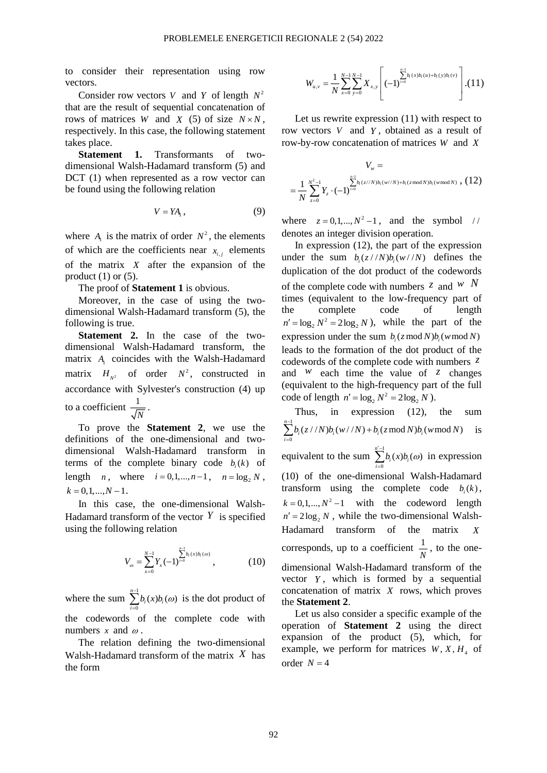to consider their representation using row vectors.

Consider row vectors V and Y of length  $N^2$ that are the result of sequential concatenation of rows of matrices *W* and *X* (5) of size  $N \times N$ , respectively. In this case, the following statement takes place.

**Statement 1.** Transformants of twodimensional Walsh-Hadamard transform (5) and DCT (1) when represented as a row vector can be found using the following relation

$$
V = YA_{1}, \qquad (9)
$$

where  $A_1$  is the matrix of order  $N^2$ , the elements of which are the coefficients near  $x_{i,j}$  elements of the matrix *X* after the expansion of the product  $(1)$  or  $(5)$ .

The proof of **Statement 1** is obvious.

Moreover, in the case of using the twodimensional Walsh-Hadamard transform (5), the following is true.

**Statement 2.** In the case of the twodimensional Walsh-Hadamard transform, the matrix  $A_1$  coincides with the Walsh-Hadamard matrix  $H_{N^2}$  of order  $N^2$ , constructed in accordance with Sylvester's construction (4) up to a coefficient  $\frac{1}{\sqrt{2}}$  $\frac{1}{N}$ .

To prove the **Statement 2**, we use the definitions of the one-dimensional and twodimensional Walsh-Hadamard transform in terms of the complete binary code  $b_i(k)$  of length *n*, where  $i = 0, 1, ..., n - 1$ ,  $n = \log_2 N$ ,  $k = 0, 1, \ldots, N - 1$ .

In this case, the one-dimensional Walsh-Hadamard transform of the vector  $Y$  is specified using the following relation

$$
V_{\omega} = \sum_{x=0}^{N-1} Y_x (-1)^{\sum_{i=0}^{n-1} b_i(x) b_i(\omega)}, \qquad (10)
$$

where the sum  $\sum_{n=1}^{\infty}$  $\sum_{i=0}^{n-1} b_i(x) b_i(\omega)$  $\sum_{i=0}^{n} c_i (x_i) c_i$  $\sum_{i=1}^{n} b_i(x) b_i(\omega)$  is the dot product of the codewords of the complete code with numbers  $x$  and  $\omega$ .

The relation defining the two-dimensional Walsh-Hadamard transform of the matrix *X* has the form

$$
W_{u,v} = \frac{1}{N} \sum_{x=0}^{N-1} \sum_{y=0}^{N-1} X_{x,y} \left[ (-1)^{\sum_{i=0}^{n-1} b_i(x) b_i(u) + b_i(y) b_i(v)} \right]. (11)
$$

Let us rewrite expression (11) with respect to row vectors *V* and *Y* , obtained as a result of row-by-row concatenation of matrices *W* and *X*

$$
V_w =
$$
  
=  $\frac{1}{N} \sum_{z=0}^{N^2-1} Y_z \cdot (-1)^{\sum_{i=0}^{n-1} b_i (z//N) b_i (w//N) + b_i (z \mod N) b_i (w \mod N)}$ , (12)

where  $z = 0, 1, ..., N^2 - 1$ , and the symbol // denotes an integer division operation.

In expression (12), the part of the expression under the sum  $b_i(z // N) b_i(w // N)$  defines the duplication of the dot product of the codewords of the complete code with numbers  $\overline{z}$  and  $\overline{w}$  *N* times (equivalent to the low-frequency part of the complete code of length  $n' = \log_2 N^2 = 2\log_2 N$ , while the part of the expression under the sum  $b_i(z \mod N) b_i(w \mod N)$ leads to the formation of the dot product of the codewords of the complete code with numbers *z* and  $W$  each time the value of  $Z$  changes (equivalent to the high-frequency part of the full code of length  $n' = \log_2 N^2 = 2\log_2 N$ ).

Thus, in expression (12), the sum 1  $\sum_{i=0}^{n-1} b_i(z // N) b_i(w// N) + b_i(z \mod N) b_i(w \mod N)$  $\sum_{i=0}^{N} v_i(x_i + 1) v_i(x_i + 1) + v_i(x_i + 1) v_i(x_i)$  $\sum_{i=1}^{n}$ *b*<sub>*z*</sub> (*z* / *N*)*b*<sub>*z*</sub> (*w*) *W*)*t*<sub>*z*</sub> (*w*)*p*<sub>*z*</sub> (*w*) *mod N*  $\sum_{i=0} b_i(z / N) b_i(w / N) + b_i(z \mod N) b_i(w \mod N)$  is equivalent to the sum  $\sum_{n=1}^{\infty}$  $\sum_{i=0}^{n-1}b_i(x)b_i(\omega)$  $\sum_{i=0}^{n} e_i(x) e_i$  $\sum_{i=1}^{n'-1} b_i(x)b_i(\omega)$  in expression (10) of the one-dimensional Walsh-Hadamard transform using the complete code  $b_i(k)$ ,  $k = 0, 1, \dots, N^2 - 1$  with the codeword length  $n' = 2\log_2 N$ , while the two-dimensional Walsh-Hadamard transform of the matrix *X* corresponds, up to a coefficient  $\frac{1}{1}$  $\frac{1}{N}$ , to the onedimensional Walsh-Hadamard transform of the vector *Y* , which is formed by a sequential concatenation of matrix *X* rows, which proves the **Statement 2**.

Let us also consider a specific example of the operation of **Statement 2** using the direct expansion of the product (5), which, for example, we perform for matrices  $W, X, H<sub>4</sub>$  of order  $N = 4$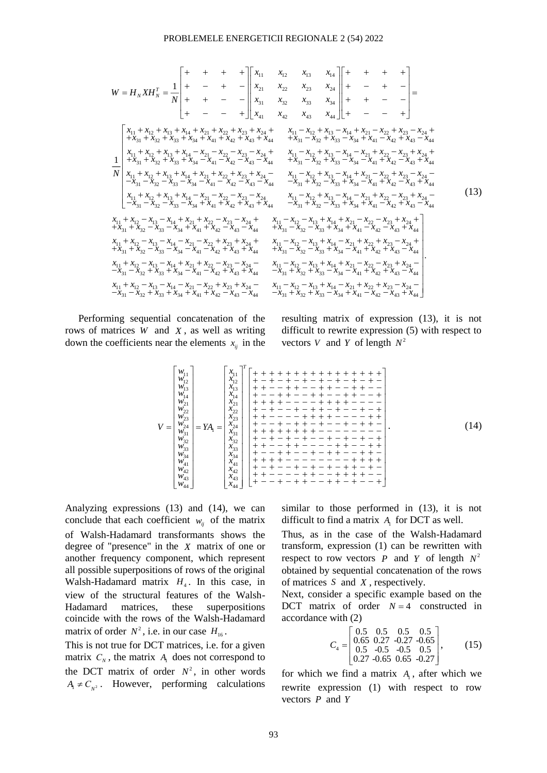11 12 13 14 21 22 23 24 31 32 33 34 41 42 43 44 11 12 13 14 21 22 23 24 11 1 31 32 33 34 41 42 43 44 1 1 *T N N x x x x x x x x W H XH N x x x x x x x x x x x x x x x x x x x x x x x x x x N* 2 13 14 21 22 23 24 31 32 33 34 41 42 43 44 11 12 13 14 21 22 23 24 11 12 13 14 21 22 23 24 31 32 33 34 41 42 43 44 31 32 33 34 41 42 43 44 11 12 13 1 *x x x x x x x x x x x x x x x x x x x x x x x x x x x x x x x x x x x x x x x x x x x x x x x x x x* 4 21 22 23 24 11 12 13 14 21 22 23 24 31 32 33 34 41 42 43 44 31 32 33 34 41 42 43 44 11 12 13 14 21 22 23 24 11 12 13 14 21 2 31 32 33 34 41 42 43 44 *x x x x x x x x x x x x x x x x x x x x x x x x x x x x x x x x x x x x x x x x x x x x x x x x x x* 2 23 24 31 32 33 34 41 42 43 44 11 12 13 14 21 22 23 24 11 12 13 14 21 22 23 24 31 32 33 34 41 42 43 44 31 32 33 34 41 42 43 44 11 12 13 14 21 *x x x x x x x x x x x x x x x x x x x x x x x x x x x x x x x x x x x x x x x x x x x x x x x* 22 23 24 11 12 13 14 21 22 23 24 31 32 33 34 41 42 43 44 31 32 33 34 41 42 43 44 11 12 13 14 21 22 23 24 11 12 13 14 21 22 23 31 32 33 34 41 42 43 44 *x x x x x x x x x x x x x x x x x x x x x x x x x x x x x x x x x x x x x x x x x x x x x x x x x x* 24 31 32 33 34 41 42 43 44 11 12 13 14 21 22 23 24 11 12 13 14 21 22 23 24 31 32 33 34 41 42 43 44 31 32 33 34 41 42 43 44 *x x x x x x x x x x x x x x x x x x x x x x x x x x x x x x x x x x x x x x x x x* (13)

Performing sequential concatenation of the rows of matrices *W* and *X* , as well as writing down the coefficients near the elements  $x_{ij}$  in the resulting matrix of expression (13), it is not difficult to rewrite expression (5) with respect to vectors *V* and *Y* of length  $N^2$ 

$$
V = \begin{bmatrix} w_{11} \\ w_{12} \\ w_{13} \\ w_{14} \\ w_{22} \\ w_{23} \\ w_{31} \\ w_{32} \\ w_{33} \\ w_{34} \\ w_{44} \\ w_{45} \\ w_{44} \\ w_{45} \\ w_{44} \\ w_{45} \\ w_{44} \\ w_{45} \\ w_{44} \\ w_{45} \\ w_{44} \\ w_{45} \\ w_{44} \\ w_{45} \\ w_{46} \\ w_{47} \\ w_{48} \\ w_{44} \\ w_{45} \\ w_{46} \\ w_{47} \\ w_{48} \\ w_{44} \\ w_{45} \\ w_{46} \\ w_{47} \\ w_{48} \\ w_{49} \\ w_{44} \\ w_{45} \\ w_{46} \\ w_{47} \\ w_{48} \\ w_{49} \\ w_{44} \\ w_{45} \\ w_{46} \\ w_{47} \\ w_{48} \\ w_{49} \\ w_{44} \\ w_{45} \\ w_{46} \\ w_{47} \\ w_{48} \\ w_{49} \\ w_{44} \\ w_{45} \\ w_{46} \\ w_{47} \\ w_{48} \\ w_{49} \\ w_{44} \\ w_{45} \\ w_{46} \\ w_{47} \\ w_{48} \\ w_{49} \\ w_{44} \\ w_{45} \\ w_{46} \\ w_{47} \\ w_{48} \\ w_{49} \\ w_{40} \\ w_{47} \\ w_{48} \\ w_{49} \\ w_{40} \\ w_{47} \\ w_{48} \\ w_{49} \\ w_{40} \\ w_{47} \\ w_{48} \\ w_{49} \\ w_{40} \\ w_{47} \\ w_{48} \\ w_{49} \\ w_{40} \\ w_{47} \\ w_{48} \\ w_{49} \\ w_{40} \\ w_{47} \\ w_{48} \\ w_{49} \\ w_{40} \\ w_{47} \\ w_{48} \\ w_{49} \\ w_{40} \\ w_{47} \\ w_{48} \\ w_{49} \\ w_{40} \\ w_{47} \\ w_{48} \\ w_{49} \\ w_{40} \\ w_{47} \\ w_{48} \\ w_{49} \\ w_{40} \\ w_{47} \\ w_{48} \\ w_{49} \\ w_{40} \\ w_{47} \\ w_{48} \\ w_{49} \\ w_{40} \\ w_{47} \\ w_{48} \\ w
$$

Analyzing expressions (13) and (14), we can conclude that each coefficient  $w_{ij}$  of the matrix of Walsh-Hadamard transformants shows the degree of "presence" in the *X* matrix of one or another frequency component, which represent all possible superpositions of rows of the original Walsh-Hadamard matrix  $H_4$ . In this case, in view of the structural features of the Walsh-Hadamard matrices, these superpositions coincide with the rows of the Walsh-Hadamard matrix of order  $N^2$ , i.e. in our case  $H_{16}$ .

This is not true for DCT matrices, i.e. for a given matrix  $C_N$ , the matrix  $A_1$  does not correspond to the DCT matrix of order  $N^2$ , in other words  $A_1 \neq C_{N^2}$ . However, performing calculations similar to those performed in (13), it is not difficult to find a matrix  $A_1$  for DCT as well.

Thus, as in the case of the Walsh-Hadamard transform, expression (1) can be rewritten with respect to row vectors  $P$  and  $Y$  of length  $N^2$ obtained by sequential concatenation of the rows of matrices *S* and *X* , respectively.

Next, consider a specific example based on the DCT matrix of order  $N = 4$  constructed in accordance with (2)

$$
C_4 = \begin{bmatrix} 0.5 & 0.5 & 0.5 & 0.5 \\ 0.65 & 0.27 & -0.27 & -0.65 \\ 0.5 & -0.5 & -0.5 & 0.5 \\ 0.27 & -0.65 & 0.65 & -0.27 \end{bmatrix},
$$
(15)

for which we find a matrix  $A_1$ , after which we rewrite expression (1) with respect to row vectors *P* and *Y*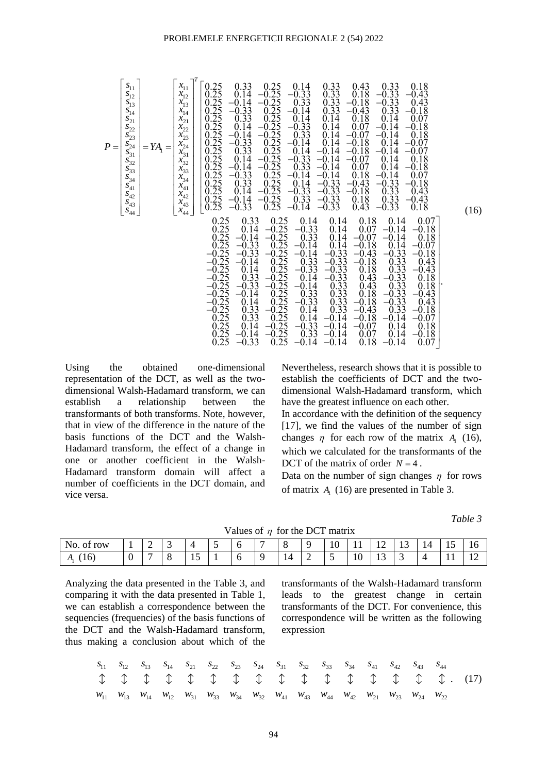| $S_{11}$<br>$x_{11}$<br>$S_{12}$<br>$x_{12}$<br>$x_{13}$<br>$S_{13}$<br>$S_{14}$<br>$x_{14}$<br>$S_{21}$<br>$x_{21}$<br>$S_{22}$<br>$x_{22}$<br>$S_{23}$<br>$x_{23}$<br>$s_{24}$<br>$x_{24}$<br>$P =$<br>$= YA_{1} =$<br>$\bar{x}_{31}$<br>$\bar{x}_{32}$<br>$\bar{x}_{33}$<br>$S_{31}S_{32}$<br>$S_{33}$<br>$\frac{x_{34}}{x_{41}}$<br>$S_{34}$<br>$S_{41}$<br>$\boldsymbol{S}_{42}$<br>$x_{42}$<br>$S_{43}$<br>$x_{43}$<br>$x_{44}$<br>$S_{44}$ | 0.25<br>0.33<br>0.25<br>0.14<br>0.33<br>0.43<br>0.33<br>0.18<br>0.25<br>.25<br>0.18<br>$-0.33$<br>0.14<br>$-0.33$<br>–0.43<br>$0.25$<br>0.25<br>0.25<br>0.25<br>0.25<br>0.25<br>$\begin{array}{c} 0.33 \\ 0.33 \\ 0.14 \end{array}$<br>0.33<br>$-0.18$<br>$-0.33$<br>$-0.14$<br>0.43<br>$-0.33$<br>$\overline{33}$<br>$-0.14$<br>$-0.43$<br>$\Omega$<br>$-0.18$<br>0.33<br>0.14<br>0.18<br>14<br>0.07<br>$\Omega$<br>$-0.33$<br>0.14<br>0.14<br>0.<br>.07<br>14<br>-0<br>18<br>0.33<br>0.14<br>$-0.14$<br>.07<br>14<br>18<br>$-0$<br>0<br>$0.25$<br>0.25<br>0.25<br>0.25<br>0.25<br>0.25<br>0.25<br>0.25<br>$-0.33$<br>$-0.14$<br>0.14<br>.18<br>$\Omega$<br>$-0.07$<br>$-0$<br>14<br>$0.\overline{3}\overline{3}$<br>18<br>0.14<br>14<br>14<br>07<br>-0<br>$-0$<br>$-0$<br>-0<br>$\overset{0.14}{-0.14}$<br>$-0.33$<br>0.33<br>14<br>$-0.07$<br>$\theta$ .<br>18<br>14<br>0.<br>14<br>0.<br>.07<br>14<br>$-\dot{0}$ .<br>18<br>$-0.33$<br>$-0.14$<br>$-0.14$<br>$\overline{0.18}$<br>$\overline{0.43}$<br>0.07<br>$-0.14$<br>0.33<br>$\begin{array}{c} -0.33 \\ -0.33 \\ -0.33 \\ -0.33 \end{array}$<br>33<br>0.14<br>$-0$<br>$-0.18$<br>$-0$<br>$\begin{array}{c} -0.33 \\ 0.33 \end{array}$<br>$-0.18$<br>.33<br>0.14<br>0.43<br>$\theta$ .<br>$0.25$<br>$0.25$<br>0.33<br>$-0.14$<br>0.18<br>ብ<br>$-0.43$<br>$-0.33$<br>$-0.33$<br>$-0.33$<br>.25<br>$-0.14$<br>0.18<br>0.43<br>$\Omega$                                                                                                                              | (16) |
|---------------------------------------------------------------------------------------------------------------------------------------------------------------------------------------------------------------------------------------------------------------------------------------------------------------------------------------------------------------------------------------------------------------------------------------------------|---------------------------------------------------------------------------------------------------------------------------------------------------------------------------------------------------------------------------------------------------------------------------------------------------------------------------------------------------------------------------------------------------------------------------------------------------------------------------------------------------------------------------------------------------------------------------------------------------------------------------------------------------------------------------------------------------------------------------------------------------------------------------------------------------------------------------------------------------------------------------------------------------------------------------------------------------------------------------------------------------------------------------------------------------------------------------------------------------------------------------------------------------------------------------------------------------------------------------------------------------------------------------------------------------------------------------------------------------------------------------------------------------------------------------------------------------------------------------------------------------------------------------|------|
|                                                                                                                                                                                                                                                                                                                                                                                                                                                   | 0.25<br>0.25<br>0.18<br>0.07<br>0.33<br>0.14<br>0.14<br>0.14<br>0.25<br>$-0.25$<br>$\frac{-0.33}{0.33}$<br>14<br>$-0.18$<br>0.14<br>0.07<br>-0.14<br>$\Omega$<br>$0.25$<br>0.25<br>-0.25<br>-0.25<br>-0.25<br>14<br>$-0$<br>$-0$<br>$-0.07$<br>0.18<br>0.14<br>$-0.14$<br>$\frac{33}{33}$<br>$\overline{14}$<br>$-0.$<br>$-0.33$<br>$-0.33$<br>$-0.33$<br>$-0.33$<br>$0.33$<br>$0.33$<br>$0.33$<br>$\begin{array}{c} -0.18 \\ -0.43 \end{array}$<br>0.14<br>$-0.07$<br>$-0$<br>$\begin{array}{c} -0.14 \\ 0.33 \\ -0.33 \end{array}$<br>$-0.33$<br>$-0.18$<br>$-0$<br>$-0$<br>$-0.18$<br>$\begin{array}{c}\n 0.33 \\  0.33 \\  -0.33 \\  -0.33 \\  -0.33\n \end{array}$<br>14<br>0.43<br>$-0$<br><sup>14</sup><br>0.18<br>$-0.43$<br>0.<br>$\overline{14}$<br>$-0.25$<br>$-0.25$<br>$-0.25$<br>33<br>0.<br>0.43<br>$0.18$<br>$0.18$<br>$-0.$<br>$\Omega$<br>$\overline{33}$<br>$\begin{array}{c} -0.14 \\ 0.33 \\ -0.33 \end{array}$<br>0.43<br>$-0.$<br>$-0$<br>14<br>$-0.43$<br>0.18<br>$-0$<br>$\frac{25}{25}$<br>33<br>$-0.18$<br>0.43<br>$\Omega$<br>14<br>0.14<br>0.33<br>0.33<br>$-0$ .<br>$0.\overline{33}$<br>$-0.18$<br>$-0.43$<br>0.33<br>$\frac{25}{25}$<br>$0.25$<br>$0.25$<br>$0.25$<br>.18<br>14<br>$-0.14$<br>$-0.14$<br>$\Omega$<br>0.<br>$-0$<br>$-0.07$<br>$-0.33$<br>.14<br>$-0.14$<br>$-0.07$<br>0.14<br>0.18<br>$-0$<br>$\theta$ .<br>$\frac{0.25}{0.25}$<br>0.33<br>14<br>$-0.14$<br>$-0.18$<br>$-0$ .<br>0.07<br>0.14<br>$-0$<br>$-0.33$<br>$-0.14$<br>0.25<br>$-0.14$<br>0.18<br>$-0.14$<br>0.07 |      |

Using the obtained one-dimensional representation of the DCT, as well as the twodimensional Walsh-Hadamard transform, we can establish a relationship between the transformants of both transforms. Note, however, that in view of the difference in the nature of the basis functions of the DCT and the Walsh-Hadamard transform, the effect of a change in one or another coefficient in the Walsh-Hadamard transform domain will affect a number of coefficients in the DCT domain, and vice versa.

Nevertheless, research shows that it is possible to establish the coefficients of DCT and the twodimensional Walsh-Hadamard transform, which have the greatest influence on each other.

In accordance with the definition of the sequency [17], we find the values of the number of sign changes  $\eta$  for each row of the matrix  $A_1$  (16), which we calculated for the transformants of the DCT of the matrix of order  $N = 4$ .

Data on the number of sign changes  $\eta$  for rows of matrix  $A<sub>1</sub>$  (16) are presented in Table 3.

*Table 3*

| No.<br>row<br>Οİ      |   | ∼ |             |  |    |   | $\sim$<br>TÛ | -<br>. .<br>$-$ | . .<br>$\overline{\phantom{0}}$ | -<br>- ∸<br>__ | 14 | $\sim$<br>⊥ J | 10                               |
|-----------------------|---|---|-------------|--|----|---|--------------|-----------------|---------------------------------|----------------|----|---------------|----------------------------------|
| 16)<br>$\mathbf{L}_1$ | ν |   | ∸<br>$\sim$ |  | 14 | - |              | 10              | -<br>∸<br>__                    |                |    | . .           | 1 <sub>c</sub><br>$\overline{1}$ |

Analyzing the data presented in the Table 3, and comparing it with the data presented in Table 1, we can establish a correspondence between the sequencies (frequencies) of the basis functions of the DCT and the Walsh-Hadamard transform, thus making a conclusion about which of the

transformants of the Walsh-Hadamard transform leads to the greatest change in certain transformants of the DCT. For convenience, this correspondence will be written as the following expression

11 12 13 14 21 22 23 24 31 32 33 34 41 42 43 44 11 13 14 12 31 33 34 32 41 43 44 42 21 23 24 22 *s s s s s s s s s s s s s s s s w w w w w w w w w w w w w w w w* . (17)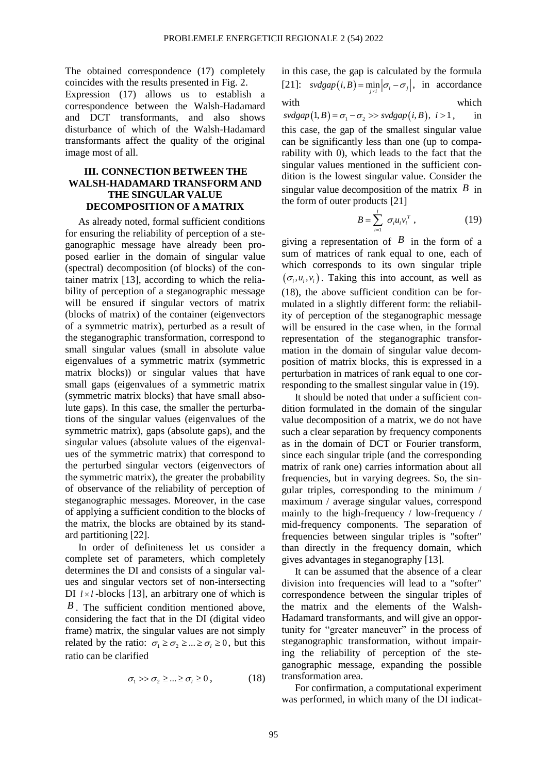The obtained correspondence (17) completely coincides with the results presented in Fig. 2.

Expression (17) allows us to establish a correspondence between the Walsh-Hadamard and DCT transformants, and also shows disturbance of which of the Walsh-Hadamard transformants affect the quality of the original image most of all.

## **III. CONNECTION BETWEEN THE WALSH-HADAMARD TRANSFORM AND THE SINGULAR VALUE DECOMPOSITION OF A MATRIX**

As already noted, formal sufficient conditions for ensuring the reliability of perception of a steganographic message have already been proposed earlier in the domain of singular value (spectral) decomposition (of blocks) of the container matrix [13], according to which the reliability of perception of a steganographic message will be ensured if singular vectors of matrix (blocks of matrix) of the container (eigenvectors of a symmetric matrix), perturbed as a result of the steganographic transformation, correspond to small singular values (small in absolute value eigenvalues of a symmetric matrix (symmetric matrix blocks)) or singular values that have small gaps (eigenvalues of a symmetric matrix (symmetric matrix blocks) that have small absolute gaps). In this case, the smaller the perturbations of the singular values (eigenvalues of the symmetric matrix), gaps (absolute gaps), and the singular values (absolute values of the eigenvalues of the symmetric matrix) that correspond to the perturbed singular vectors (eigenvectors of the symmetric matrix), the greater the probability of observance of the reliability of perception of steganographic messages. Moreover, in the case of applying a sufficient condition to the blocks of the matrix, the blocks are obtained by its standard partitioning [22].

In order of definiteness let us consider a complete set of parameters, which completely determines the DI and consists of a singular values and singular vectors set of non-intersecting DI  $l \times l$ -blocks [13], an arbitrary one of which is *B* . The sufficient condition mentioned above, considering the fact that in the DI (digital video frame) matrix, the singular values are not simply related by the ratio:  $\sigma_1 \ge \sigma_2 \ge ... \ge \sigma_l \ge 0$ , but this ratio can be clarified

$$
\sigma_1 \gg \sigma_2 \geq \dots \geq \sigma_l \geq 0, \tag{18}
$$

in this case, the gap is calculated by the formula [21]:  $\frac{v \cdot v}{\partial p}$   $\left(i, B\right) = \min_{j \neq i} \left| \sigma_i - \sigma_j \right|$ , in accordance with which which

 $svdgap(1, B) = \sigma_1 - \sigma_2 \gg svdgap(i, B), i > 1,$ , in this case, the gap of the smallest singular value can be significantly less than one (up to comparability with 0), which leads to the fact that the singular values mentioned in the sufficient condition is the lowest singular value. Consider the singular value decomposition of the matrix  $\hat{B}$  in the form of outer products [21]

$$
B=\sum_{i=1}^l \sigma_i u_i v_i^T, \qquad (19)
$$

giving a representation of  $\overline{B}$  in the form of a sum of matrices of rank equal to one, each of which corresponds to its own singular triple  $(\sigma_i, u_i, v_i)$ . Taking this into account, as well as (18), the above sufficient condition can be formulated in a slightly different form: the reliability of perception of the steganographic message will be ensured in the case when, in the formal representation of the steganographic transformation in the domain of singular value decomposition of matrix blocks, this is expressed in a perturbation in matrices of rank equal to one corresponding to the smallest singular value in (19).

It should be noted that under a sufficient condition formulated in the domain of the singular value decomposition of a matrix, we do not have such a clear separation by frequency components as in the domain of DCT or Fourier transform, since each singular triple (and the corresponding matrix of rank one) carries information about all frequencies, but in varying degrees. So, the singular triples, corresponding to the minimum / maximum / average singular values, correspond mainly to the high-frequency / low-frequency / mid-frequency components. The separation of frequencies between singular triples is "softer" than directly in the frequency domain, which gives advantages in steganography [13].

It can be assumed that the absence of a clear division into frequencies will lead to a "softer" correspondence between the singular triples of the matrix and the elements of the Walsh-Hadamard transformants, and will give an opportunity for "greater maneuver" in the process of steganographic transformation, without impairing the reliability of perception of the steganographic message, expanding the possible transformation area.

For confirmation, a computational experiment was performed, in which many of the DI indicat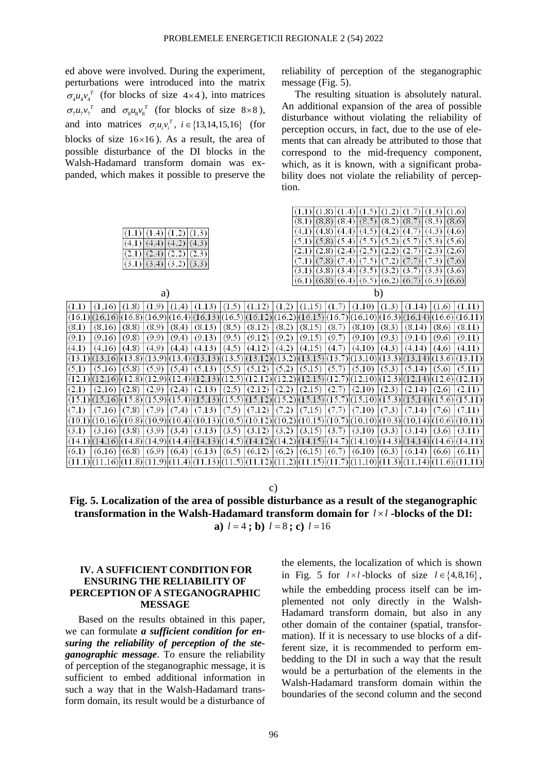ed above were involved. During the experiment, perturbations were introduced into the matrix  $\sigma_4 u_4 v_4^T$  (for blocks of size 4×4), into matrices  $\sigma_7 u_7 v_7^T$  and  $\sigma_8 u_8 v_8^T$  (for blocks of size 8×8), and into matrices  $\sigma_i u_i v_i^T$ ,  $i \in \{13, 14, 15, 16\}$  (for blocks of size  $16\times16$ ). As a result, the area of possible disturbance of the DI blocks in the Walsh-Hadamard transform domain was expanded, which makes it possible to preserve the

reliability of perception of the steganographic message (Fig. 5).

The resulting situation is absolutely natural. An additional expansion of the area of possible disturbance without violating the reliability of perception occurs, in fact, due to the use of elements that can already be attributed to those that correspond to the mid-frequency component, which, as it is known, with a significant probability does not violate the reliability of perception.

 $(1,1) (1,8) (1,4) (1,5) (1,2) (1,7) (1,3) (1,6)$ 

| (1,2)<br>(1,3)<br>$(1,1)$ $(1,4)$<br>(4,3)<br>$(4,1)$ $(4,4)$<br>(4,2)<br>(2,3)<br>$(2,1)$ (2,4)<br>(2,2)<br>(3,2)<br>(3,3)<br>$(3,1)$ $(3,4)$ | $(8,1)$ $(8,8)$ $(8,4)$ $(8,5)$ $(8,2)$ $(8,7)$ $(8,3)$ $(8,6)$<br>$(4,8)$ $(4,4)$<br>(4,2)<br>(4,7)<br>(4,5)<br>(4,3)<br>(4,6)<br>(4,1)<br>$(5,8)$ $(5,4)$ $(5,5)$<br>(5,2)<br>(5,7)<br>(5,6)<br>(5,1)<br>(5,3)<br>$(2,8)$ $(2,4)$<br>(2,5)<br>(2,6)<br>(2,2)<br>(2,7)<br>(2,3)<br>(2,1)<br>(7,6)<br>$(7,8)$ $(7,4)$<br>(7,5)<br>(7,2)<br>(7,7)<br>(7,1)<br>(7,3)<br>(3,5)<br>(3,2)<br>(3,1)<br>$(3,8)$ $(3,4)$<br>(3,7)<br>$(3,3)$ $(3,6)$<br>$(6,1)$ $(6,8)$ $(6,4)$ $(6,5)$<br>$(6,2)$ $(6,7)$<br>$(6,3)$ $(6,6)$ |
|------------------------------------------------------------------------------------------------------------------------------------------------|-----------------------------------------------------------------------------------------------------------------------------------------------------------------------------------------------------------------------------------------------------------------------------------------------------------------------------------------------------------------------------------------------------------------------------------------------------------------------------------------------------------------------|
| a)                                                                                                                                             | b)                                                                                                                                                                                                                                                                                                                                                                                                                                                                                                                    |
| (1,9)                                                                                                                                          | (1,10)                                                                                                                                                                                                                                                                                                                                                                                                                                                                                                                |
| (1,1)                                                                                                                                          | (1,3)                                                                                                                                                                                                                                                                                                                                                                                                                                                                                                                 |
| (1,8)                                                                                                                                          | (1,2)                                                                                                                                                                                                                                                                                                                                                                                                                                                                                                                 |
| (1,13)                                                                                                                                         | (1,15)                                                                                                                                                                                                                                                                                                                                                                                                                                                                                                                |
| (1,5)                                                                                                                                          | (1,7)                                                                                                                                                                                                                                                                                                                                                                                                                                                                                                                 |
| (1,12)                                                                                                                                         | (1,14)                                                                                                                                                                                                                                                                                                                                                                                                                                                                                                                |
| (1,16)                                                                                                                                         | (1,11)                                                                                                                                                                                                                                                                                                                                                                                                                                                                                                                |
| (1,4)                                                                                                                                          | (1,6)                                                                                                                                                                                                                                                                                                                                                                                                                                                                                                                 |
| (16,1)<br>$ (16,16)(16,8)(16,9)(16,4)(16,13)(16,5)(16,12)$                                                                                     | $(16,2)$ $(16,15)$ $(16,7)$ $(16,10)$ $(16,3)$ $(16,14)$ $(16,6)$ $(16,11)$                                                                                                                                                                                                                                                                                                                                                                                                                                           |
| (8,5)                                                                                                                                          | (8,2)                                                                                                                                                                                                                                                                                                                                                                                                                                                                                                                 |
| (8,1)                                                                                                                                          | (8,15)                                                                                                                                                                                                                                                                                                                                                                                                                                                                                                                |
| (8,16)                                                                                                                                         | (8,7)                                                                                                                                                                                                                                                                                                                                                                                                                                                                                                                 |
| (8,8)                                                                                                                                          | (8,10)                                                                                                                                                                                                                                                                                                                                                                                                                                                                                                                |
| (8,9)                                                                                                                                          | (8,3)                                                                                                                                                                                                                                                                                                                                                                                                                                                                                                                 |
| (8,4)                                                                                                                                          | (8,14)                                                                                                                                                                                                                                                                                                                                                                                                                                                                                                                |
| (8,13)                                                                                                                                         | (8,6)                                                                                                                                                                                                                                                                                                                                                                                                                                                                                                                 |
| (8,12)                                                                                                                                         | (8,11)                                                                                                                                                                                                                                                                                                                                                                                                                                                                                                                |
| (9,13)                                                                                                                                         | (9,2)                                                                                                                                                                                                                                                                                                                                                                                                                                                                                                                 |
| (9,5)                                                                                                                                          | (9,15)                                                                                                                                                                                                                                                                                                                                                                                                                                                                                                                |
| (9,1)                                                                                                                                          | (9,7)                                                                                                                                                                                                                                                                                                                                                                                                                                                                                                                 |
| (9,16)                                                                                                                                         | (9,3)                                                                                                                                                                                                                                                                                                                                                                                                                                                                                                                 |
| (9,8)                                                                                                                                          | (9,11)                                                                                                                                                                                                                                                                                                                                                                                                                                                                                                                |
| (9,9)                                                                                                                                          | (9,10)                                                                                                                                                                                                                                                                                                                                                                                                                                                                                                                |
| (9,4)                                                                                                                                          | (9,14)                                                                                                                                                                                                                                                                                                                                                                                                                                                                                                                |
| (9,12)                                                                                                                                         | (9,6)                                                                                                                                                                                                                                                                                                                                                                                                                                                                                                                 |
| (4,1)                                                                                                                                          | (4,2)                                                                                                                                                                                                                                                                                                                                                                                                                                                                                                                 |
| (4,13)                                                                                                                                         | (4,15)                                                                                                                                                                                                                                                                                                                                                                                                                                                                                                                |
| (4,5)                                                                                                                                          | (4,7)                                                                                                                                                                                                                                                                                                                                                                                                                                                                                                                 |
| (4,8)                                                                                                                                          | (4,3)                                                                                                                                                                                                                                                                                                                                                                                                                                                                                                                 |
| (4,9)                                                                                                                                          | (4,11)                                                                                                                                                                                                                                                                                                                                                                                                                                                                                                                |
| (4,12)                                                                                                                                         | (4,10)                                                                                                                                                                                                                                                                                                                                                                                                                                                                                                                |
| (4,16)                                                                                                                                         | (4,14)                                                                                                                                                                                                                                                                                                                                                                                                                                                                                                                |
| (4,4)                                                                                                                                          | (4,6)                                                                                                                                                                                                                                                                                                                                                                                                                                                                                                                 |
| (13,5)<br>(13.1)<br> (13,16) (13,8) <br>(13,9)(13,4)(13,13)<br>(13,12)                                                                         | (13,2)(13,15)<br>(13,7)<br>(13,10)(13,3)(13,14)(13,6)(13,11)                                                                                                                                                                                                                                                                                                                                                                                                                                                          |
| (5,5)                                                                                                                                          | (5,11)                                                                                                                                                                                                                                                                                                                                                                                                                                                                                                                |
| (5,1)                                                                                                                                          | (5,2)                                                                                                                                                                                                                                                                                                                                                                                                                                                                                                                 |
| (5,8)                                                                                                                                          | (5,15)                                                                                                                                                                                                                                                                                                                                                                                                                                                                                                                |
| (5,9)                                                                                                                                          | (5,7)                                                                                                                                                                                                                                                                                                                                                                                                                                                                                                                 |
| (5,4)                                                                                                                                          | (5,3)                                                                                                                                                                                                                                                                                                                                                                                                                                                                                                                 |
| (5,13)                                                                                                                                         | (5,14)                                                                                                                                                                                                                                                                                                                                                                                                                                                                                                                |
| (5,12)                                                                                                                                         | (5,6)                                                                                                                                                                                                                                                                                                                                                                                                                                                                                                                 |
| (5,16)                                                                                                                                         | (5,10)                                                                                                                                                                                                                                                                                                                                                                                                                                                                                                                |
| (12,1)<br>(12, 4)<br>(12, 13)<br>(12,5)<br>(12,12)<br>(12,8)<br>(12,9)<br>(12.16)                                                              | (12,15)<br>$(12,10)$ $(12,3)$ $(12,14)$ $(12,6)$ $(12,11)$<br>(12,7<br>(12,2)                                                                                                                                                                                                                                                                                                                                                                                                                                         |
| (2,9)                                                                                                                                          | (2,11)                                                                                                                                                                                                                                                                                                                                                                                                                                                                                                                |
| (2,5)                                                                                                                                          | (2,2)                                                                                                                                                                                                                                                                                                                                                                                                                                                                                                                 |
| (2,12)                                                                                                                                         | (2,15)                                                                                                                                                                                                                                                                                                                                                                                                                                                                                                                |
| $_{(2,1)}$                                                                                                                                     | (2,7)                                                                                                                                                                                                                                                                                                                                                                                                                                                                                                                 |
| (2,8)                                                                                                                                          | (2,3)                                                                                                                                                                                                                                                                                                                                                                                                                                                                                                                 |
| (2,4)                                                                                                                                          | (2,14)                                                                                                                                                                                                                                                                                                                                                                                                                                                                                                                |
| (2,13)                                                                                                                                         | (2,10)                                                                                                                                                                                                                                                                                                                                                                                                                                                                                                                |
| (2,16)                                                                                                                                         | (2,6)                                                                                                                                                                                                                                                                                                                                                                                                                                                                                                                 |
| (15,13)<br>(15,5)<br>(15, 12)<br>(15,1)<br>(15,16)<br>(15,8)<br>(15,9)<br>(15,4)                                                               | (15,2)<br>(15,15)<br>(15,10)<br>(15,3)(15,14)<br>(15,11)<br>(15,7)<br>(15,6)                                                                                                                                                                                                                                                                                                                                                                                                                                          |
| (7,5)                                                                                                                                          | (7,11)                                                                                                                                                                                                                                                                                                                                                                                                                                                                                                                |
| (7,1)                                                                                                                                          | (7,2)                                                                                                                                                                                                                                                                                                                                                                                                                                                                                                                 |
| (7,8)                                                                                                                                          | (7,15)                                                                                                                                                                                                                                                                                                                                                                                                                                                                                                                |
| (7,9)                                                                                                                                          | (7,7)                                                                                                                                                                                                                                                                                                                                                                                                                                                                                                                 |
| (7,13)                                                                                                                                         | (7,3)                                                                                                                                                                                                                                                                                                                                                                                                                                                                                                                 |
| (7,12)                                                                                                                                         | (7,10)                                                                                                                                                                                                                                                                                                                                                                                                                                                                                                                |
| (7,16)                                                                                                                                         | (7,14)                                                                                                                                                                                                                                                                                                                                                                                                                                                                                                                |
| (7,4)                                                                                                                                          | (7,6)                                                                                                                                                                                                                                                                                                                                                                                                                                                                                                                 |
| $(10,16)(10,8)(10,9)(10,4)(10,13)(10,5)$<br>(10,1)                                                                                             | $ (10,12)(10,2)(10,15)(10,7)(10,10)(10,3)(10,14)(10,6)(10,11)$                                                                                                                                                                                                                                                                                                                                                                                                                                                        |
| (3,5)                                                                                                                                          | (3,15)                                                                                                                                                                                                                                                                                                                                                                                                                                                                                                                |
| (3,1)                                                                                                                                          | (3,7)                                                                                                                                                                                                                                                                                                                                                                                                                                                                                                                 |
| (3,8)                                                                                                                                          | (3,11)                                                                                                                                                                                                                                                                                                                                                                                                                                                                                                                |
| (3,9)                                                                                                                                          | (3,2)                                                                                                                                                                                                                                                                                                                                                                                                                                                                                                                 |
| (3,13)                                                                                                                                         | (3,3)                                                                                                                                                                                                                                                                                                                                                                                                                                                                                                                 |
| (3,12)                                                                                                                                         | (3,14)                                                                                                                                                                                                                                                                                                                                                                                                                                                                                                                |
| (3,4)                                                                                                                                          | (3,10)                                                                                                                                                                                                                                                                                                                                                                                                                                                                                                                |
| (3,16)                                                                                                                                         | (3,6)                                                                                                                                                                                                                                                                                                                                                                                                                                                                                                                 |
| $(14,16)(14,8)(14,9)(14,4)(14,13)(14,5)$<br>(14,12)<br>(14,1)                                                                                  | $(14,2)$ [(14,15)](14,7)](14,10)](14,3)](14,14)](14,6)](14,11)                                                                                                                                                                                                                                                                                                                                                                                                                                                        |
| (6,12)                                                                                                                                         | (6,2)                                                                                                                                                                                                                                                                                                                                                                                                                                                                                                                 |
| (6,1)                                                                                                                                          | (6,15)                                                                                                                                                                                                                                                                                                                                                                                                                                                                                                                |
| (6,8)                                                                                                                                          | (6,7)                                                                                                                                                                                                                                                                                                                                                                                                                                                                                                                 |
| (6,9)                                                                                                                                          | (6,10)                                                                                                                                                                                                                                                                                                                                                                                                                                                                                                                |
| (6,13)                                                                                                                                         | (6,3)                                                                                                                                                                                                                                                                                                                                                                                                                                                                                                                 |
| (6,5)                                                                                                                                          | (6,11)                                                                                                                                                                                                                                                                                                                                                                                                                                                                                                                |
| (6,16)                                                                                                                                         | (6,14)                                                                                                                                                                                                                                                                                                                                                                                                                                                                                                                |
| (6,4)                                                                                                                                          | (6,6)                                                                                                                                                                                                                                                                                                                                                                                                                                                                                                                 |
| $ (11,16)(11,8)(11,9)(11,4)(11,13)(11,5)$<br>(11,1)                                                                                            | $ (11,12)(11,2)(11,15)(11,7)(11,10)(11,3)(11,14)(11,6)(11,11)$                                                                                                                                                                                                                                                                                                                                                                                                                                                        |

## c)

**Fig. 5. Localization of the area of possible disturbance as a result of the steganographic transformation in the Walsh-Hadamard transform domain for**  *<sup>l</sup> <sup>l</sup>* **-blocks of the DI: a**)  $l = 4$ ; **b**)  $l = 8$ ; **c**)  $l = 16$ 

## **IV. A SUFFICIENT CONDITION FOR ENSURING THE RELIABILITY OF PERCEPTION OF A STEGANOGRAPHIC MESSAGE**

Based on the results obtained in this paper, we can formulate *a sufficient condition for ensuring the reliability of perception of the steganographic message*. To ensure the reliability of perception of the steganographic message, it is sufficient to embed additional information in such a way that in the Walsh-Hadamard transform domain, its result would be a disturbance of

the elements, the localization of which is shown in Fig. 5 for  $l \times l$ -blocks of size  $l \in \{4, 8, 16\}$ , while the embedding process itself can be implemented not only directly in the Walsh-Hadamard transform domain, but also in any other domain of the container (spatial, transformation). If it is necessary to use blocks of a different size, it is recommended to perform embedding to the DI in such a way that the result would be a perturbation of the elements in the Walsh-Hadamard transform domain within the boundaries of the second column and the second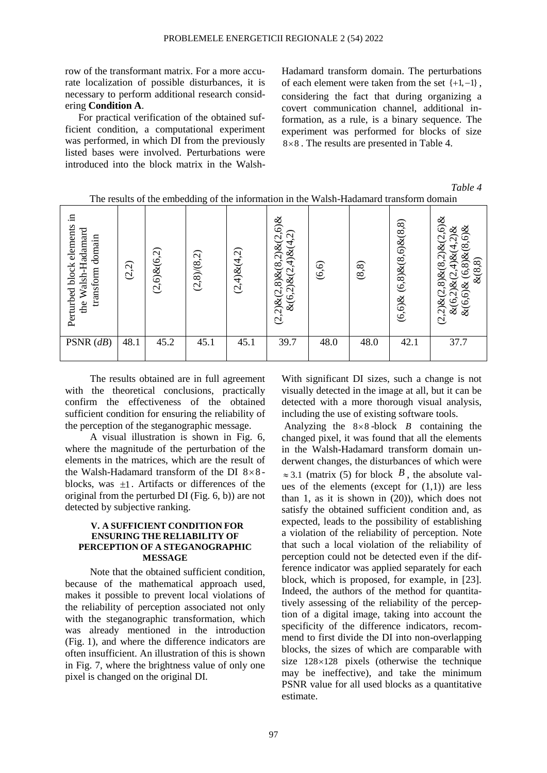row of the transformant matrix. For a more accurate localization of possible disturbances, it is necessary to perform additional research considering **Condition A**.

For practical verification of the obtained sufficient condition, a computational experiment was performed, in which DI from the previously listed bases were involved. Perturbations were introduced into the block matrix in the WalshHadamard transform domain. The perturbations of each element were taken from the set  $\{+1,-1\}$ , considering the fact that during organizing a covert communication channel, additional information, as a rule, is a binary sequence. The experiment was performed for blocks of size 8 8 . The results are presented in Table 4.

*Table 4*

| ⊞.<br>Perturbed block elements<br>the Walsh-Hadamard<br>domain<br>transform | (2,2) | $(2,6)$ & $(6,2)$ | $\circ$<br>(2,8)/(8,2) | $(2,4)$ & $(4,2)$ | $(2,2)$ & $(2,8)$ & $(8,2)$ & $(2,6)$ &<br>$\&(6,2)\&(2,4)\&(4,2)$ | (6, 6) | (8, 8) | $(6,8)$ & $(8,6)$ & $(8,8)$<br>$(6,6)$ & | ళ<br>ତ୍<br>$,6)$ &<br>ళ<br>$\tilde{\mathcal{C}}$<br>$\infty$<br>$\infty$<br>$\tilde{\Omega}$<br>ન્છે<br>ళ<br>$\mathcal{S}$<br>$, 8)$ & $(8.$<br>∞<br>$\&$ (8)<br>७<br>$\mathbf{\sim}$<br>ઍ<br>$\infty$<br>$\overline{C}$<br>$\&(6,6)$<br>$(2,2)$ &<br>$\circ$<br>ళ |
|-----------------------------------------------------------------------------|-------|-------------------|------------------------|-------------------|--------------------------------------------------------------------|--------|--------|------------------------------------------|--------------------------------------------------------------------------------------------------------------------------------------------------------------------------------------------------------------------------------------------------------------------|
| PSNR $(dB)$                                                                 | 48.1  | 45.2              | 45.1                   | 45.1              | 39.7                                                               | 48.0   | 48.0   | 42.1                                     | 37.7                                                                                                                                                                                                                                                               |

The results of the embedding of the information in the Walsh-Hadamard transform domain

The results obtained are in full agreement with the theoretical conclusions, practically confirm the effectiveness of the obtained sufficient condition for ensuring the reliability of the perception of the steganographic message.

A visual illustration is shown in Fig. 6, where the magnitude of the perturbation of the elements in the matrices, which are the result of the Walsh-Hadamard transform of the DI  $8 \times 8$ blocks, was  $\pm 1$ . Artifacts or differences of the original from the perturbed DI (Fig. 6, b)) are not detected by subjective ranking.

### **V. A SUFFICIENT CONDITION FOR ENSURING THE RELIABILITY OF PERCEPTION OF A STEGANOGRAPHIC MESSAGE**

Note that the obtained sufficient condition, because of the mathematical approach used, makes it possible to prevent local violations of the reliability of perception associated not only with the steganographic transformation, which was already mentioned in the introduction (Fig. 1), and where the difference indicators are often insufficient. An illustration of this is shown in Fig. 7, where the brightness value of only one pixel is changed on the original DI.

With significant DI sizes, such a change is not visually detected in the image at all, but it can be detected with a more thorough visual analysis, including the use of existing software tools.

Analyzing the  $8 \times 8$ -block *B* containing the changed pixel, it was found that all the elements in the Walsh-Hadamard transform domain underwent changes, the disturbances of which were  $\approx$  3.1 (matrix (5) for block  $\overline{B}$ , the absolute values of the elements (except for  $(1,1)$ ) are less than 1, as it is shown in (20)), which does not satisfy the obtained sufficient condition and, as expected, leads to the possibility of establishing a violation of the reliability of perception. Note that such a local violation of the reliability of perception could not be detected even if the difference indicator was applied separately for each block, which is proposed, for example, in [23]. Indeed, the authors of the method for quantitatively assessing of the reliability of the perception of a digital image, taking into account the specificity of the difference indicators, recommend to first divide the DI into non-overlapping blocks, the sizes of which are comparable with size  $128 \times 128$  pixels (otherwise the technique may be ineffective), and take the minimum PSNR value for all used blocks as a quantitative estimate.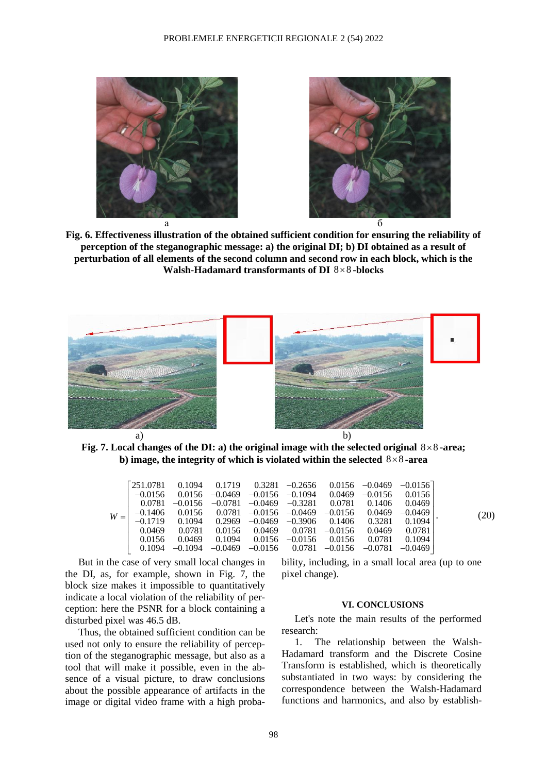



**Fig. 6. Effectiveness illustration of the obtained sufficient condition for ensuring the reliability of perception of the steganographic message: a) the original DI; b) DI obtained as a result of perturbation of all elements of the second column and second row in each block, which is the**  Walsh-Hadamard transformants of DI  $8 \times 8$ -blocks



Fig. 7. Local changes of the DI: a) the original image with the selected original  $8 \times 8$ -area; b) image, the integrity of which is violated within the selected 8×8-area

| $W =$ |  |  |  |                                                                                                                                                     | (20)                                                                                                                                                                                                                                                                                                                                                                                                                                                                                             |
|-------|--|--|--|-----------------------------------------------------------------------------------------------------------------------------------------------------|--------------------------------------------------------------------------------------------------------------------------------------------------------------------------------------------------------------------------------------------------------------------------------------------------------------------------------------------------------------------------------------------------------------------------------------------------------------------------------------------------|
|       |  |  |  | $0.0781 - 0.0156 - 0.0781 - 0.0469 - 0.3281 - 0.0781 - 0.1406 - 0.0469$<br>$0.0156$ $0.0469$ $0.1094$ $0.0156$ $-0.0156$ $0.0156$ $0.0781$ $0.1094$ | $\begin{bmatrix} 251.0781 & 0.1094 & 0.1719 & 0.3281 & -0.2656 & 0.0156 & -0.0469 & -0.0156 \end{bmatrix}$<br>$-0.0156$ 0.0156 $-0.0469$ $-0.0156$ $-0.1094$ 0.0469 $-0.0156$ 0.0156<br>$-0.1406$ 0.0156  0.0781 $-0.0156$ $-0.0469$ $-0.0156$ 0.0469 $-0.0469$<br>$-0.1719$ 0.1094 0.2969 $-0.0469$ $-0.3906$ 0.1406 0.3281 0.1094<br>$0.0469$ $0.0781$ $0.0156$ $0.0469$ $0.0781$ $-0.0156$ $0.0469$ $0.0781$<br>$0.1094$ $-0.1094$ $-0.0469$ $-0.0156$ $0.0781$ $-0.0156$ $-0.0781$ $-0.0469$ |

But in the case of very small local changes in the DI, as, for example, shown in Fig. 7, the block size makes it impossible to quantitatively indicate a local violation of the reliability of perception: here the PSNR for a block containing a disturbed pixel was 46.5 dB.

Thus, the obtained sufficient condition can be used not only to ensure the reliability of perception of the steganographic message, but also as a tool that will make it possible, even in the absence of a visual picture, to draw conclusions about the possible appearance of artifacts in the image or digital video frame with a high probability, including, in a small local area (up to one pixel change).

#### **VI. CONCLUSIONS**

Let's note the main results of the performed research:

1. The relationship between the Walsh-Hadamard transform and the Discrete Cosine Transform is established, which is theoretically substantiated in two ways: by considering the correspondence between the Walsh-Hadamard functions and harmonics, and also by establish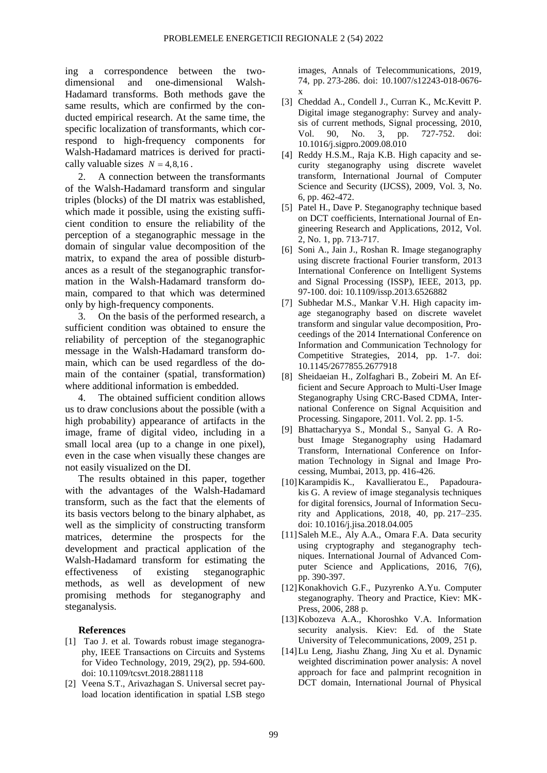ing a correspondence between the twodimensional and one-dimensional Walsh-Hadamard transforms. Both methods gave the same results, which are confirmed by the conducted empirical research. At the same time, the specific localization of transformants, which correspond to high-frequency components for Walsh-Hadamard matrices is derived for practically valuable sizes  $N = 4,8,16$ .

2. A connection between the transformants of the Walsh-Hadamard transform and singular triples (blocks) of the DI matrix was established, which made it possible, using the existing sufficient condition to ensure the reliability of the perception of a steganographic message in the domain of singular value decomposition of the matrix, to expand the area of possible disturbances as a result of the steganographic transformation in the Walsh-Hadamard transform domain, compared to that which was determined only by high-frequency components.

3. On the basis of the performed research, a sufficient condition was obtained to ensure the reliability of perception of the steganographic message in the Walsh-Hadamard transform domain, which can be used regardless of the domain of the container (spatial, transformation) where additional information is embedded.

4. The obtained sufficient condition allows us to draw conclusions about the possible (with a high probability) appearance of artifacts in the image, frame of digital video, including in a small local area (up to a change in one pixel), even in the case when visually these changes are not easily visualized on the DI.

The results obtained in this paper, together with the advantages of the Walsh-Hadamard transform, such as the fact that the elements of its basis vectors belong to the binary alphabet, as well as the simplicity of constructing transform matrices, determine the prospects for the development and practical application of the Walsh-Hadamard transform for estimating the effectiveness of existing steganographic methods, as well as development of new promising methods for steganography and steganalysis.

#### **References**

- [1] Tao J. et al. Towards robust image steganography, IEEE Transactions on Circuits and Systems for Video Technology, 2019, 29(2), pp. 594-600. doi: 10.1109/tcsvt.2018.2881118
- [2] Veena S.T., Arivazhagan S. Universal secret payload location identification in spatial LSB stego

images, Annals of Telecommunications, 2019, 74, pp. 273-286. doi: 10.1007/s12243-018-0676 x

- [3] Cheddad A., Condell J., Curran K., Mc.Kevitt P. Digital image steganography: Survey and analysis of current methods, Signal processing, 2010, Vol. 90, No. 3, pp. 727-752. doi: 10.1016/j.sigpro.2009.08.010
- [4] Reddy H.S.M., Raja K.B. High capacity and security steganography using discrete wavelet transform, International Journal of Computer Science and Security (IJCSS), 2009, Vol. 3, No. 6, pp. 462-472.
- [5] Patel H., Dave P. Steganography technique based on DCT coefficients, International Journal of Engineering Research and Applications, 2012, Vol. 2, No. 1, pp. 713-717.
- [6] Soni A., Jain J., Roshan R. Image steganography using discrete fractional Fourier transform, 2013 International Conference on Intelligent Systems and Signal Processing (ISSP), IEEE, 2013, pp. 97-100. doi: 10.1109/issp.2013.6526882
- [7] Subhedar M.S., Mankar V.H. High capacity image steganography based on discrete wavelet transform and singular value decomposition, Proceedings of the 2014 International Conference on Information and Communication Technology for Competitive Strategies, 2014, pp. 1-7. doi: 10.1145/2677855.2677918
- [8] Sheidaeian H., Zolfaghari B., Zobeiri M. An Efficient and Secure Approach to Multi-User Image Steganography Using CRC-Based CDMA, International Conference on Signal Acquisition and Processing. Singapore, 2011. Vol. 2. pp. 1-5.
- [9] Bhattacharyya S., Mondal S., Sanyal G. A Robust Image Steganography using Hadamard Transform, International Conference on Information Technology in Signal and Image Processing, Mumbai, 2013, pp. 416-426.
- [10]Karampidis K., Kavallieratou E., Papadourakis G. A review of image steganalysis techniques for digital forensics, Journal of Information Security and Applications, 2018, 40, pp. 217–235. doi: 10.1016/j.jisa.2018.04.005
- [11]Saleh M.E., Aly A.A., Omara F.A. Data security using cryptography and steganography techniques. International Journal of Advanced Computer Science and Applications, 2016, 7(6), pp. 390-397.
- [12]Konakhovich G.F., Puzyrenko A.Yu. Computer steganography. Theory and Practice, Kiev: MK-Press, 2006, 288 p.
- [13]Kobozeva A.A., Khoroshko V.A. Information security analysis. Kiev: Ed. of the State University of Telecommunications, 2009, 251 p.
- [14]Lu Leng, Jiashu Zhang, Jing Xu et al. Dynamic weighted discrimination power analysis: A novel approach for face and palmprint recognition in DCT domain, International Journal of Physical